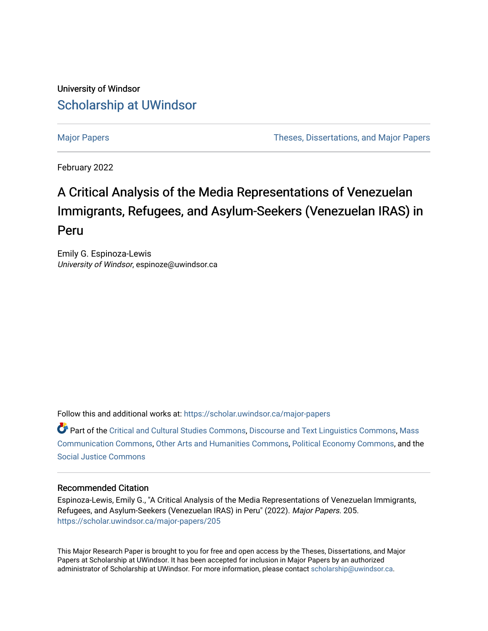## University of Windsor [Scholarship at UWindsor](https://scholar.uwindsor.ca/)

[Major Papers](https://scholar.uwindsor.ca/major-papers) [Theses, Dissertations, and Major Papers](https://scholar.uwindsor.ca/theses-dissertations-major-papers) 

February 2022

# A Critical Analysis of the Media Representations of Venezuelan Immigrants, Refugees, and Asylum-Seekers (Venezuelan IRAS) in Peru

Emily G. Espinoza-Lewis University of Windsor, espinoze@uwindsor.ca

Follow this and additional works at: [https://scholar.uwindsor.ca/major-papers](https://scholar.uwindsor.ca/major-papers?utm_source=scholar.uwindsor.ca%2Fmajor-papers%2F205&utm_medium=PDF&utm_campaign=PDFCoverPages) 

Part of the [Critical and Cultural Studies Commons](http://network.bepress.com/hgg/discipline/328?utm_source=scholar.uwindsor.ca%2Fmajor-papers%2F205&utm_medium=PDF&utm_campaign=PDFCoverPages), [Discourse and Text Linguistics Commons](http://network.bepress.com/hgg/discipline/376?utm_source=scholar.uwindsor.ca%2Fmajor-papers%2F205&utm_medium=PDF&utm_campaign=PDFCoverPages), [Mass](http://network.bepress.com/hgg/discipline/334?utm_source=scholar.uwindsor.ca%2Fmajor-papers%2F205&utm_medium=PDF&utm_campaign=PDFCoverPages)  [Communication Commons](http://network.bepress.com/hgg/discipline/334?utm_source=scholar.uwindsor.ca%2Fmajor-papers%2F205&utm_medium=PDF&utm_campaign=PDFCoverPages), [Other Arts and Humanities Commons](http://network.bepress.com/hgg/discipline/577?utm_source=scholar.uwindsor.ca%2Fmajor-papers%2F205&utm_medium=PDF&utm_campaign=PDFCoverPages), [Political Economy Commons,](http://network.bepress.com/hgg/discipline/352?utm_source=scholar.uwindsor.ca%2Fmajor-papers%2F205&utm_medium=PDF&utm_campaign=PDFCoverPages) and the [Social Justice Commons](http://network.bepress.com/hgg/discipline/1432?utm_source=scholar.uwindsor.ca%2Fmajor-papers%2F205&utm_medium=PDF&utm_campaign=PDFCoverPages) 

#### Recommended Citation

Espinoza-Lewis, Emily G., "A Critical Analysis of the Media Representations of Venezuelan Immigrants, Refugees, and Asylum-Seekers (Venezuelan IRAS) in Peru" (2022). Major Papers. 205. [https://scholar.uwindsor.ca/major-papers/205](https://scholar.uwindsor.ca/major-papers/205?utm_source=scholar.uwindsor.ca%2Fmajor-papers%2F205&utm_medium=PDF&utm_campaign=PDFCoverPages) 

This Major Research Paper is brought to you for free and open access by the Theses, Dissertations, and Major Papers at Scholarship at UWindsor. It has been accepted for inclusion in Major Papers by an authorized administrator of Scholarship at UWindsor. For more information, please contact [scholarship@uwindsor.ca](mailto:scholarship@uwindsor.ca).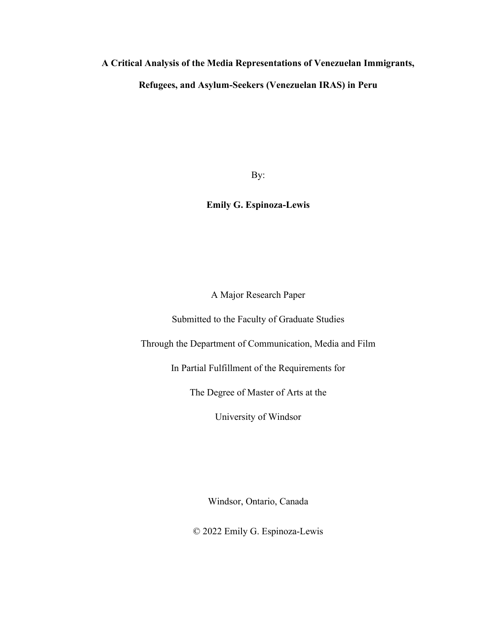#### **A Critical Analysis of the Media Representations of Venezuelan Immigrants,**

### **Refugees, and Asylum-Seekers (Venezuelan IRAS) in Peru**

By:

### **Emily G. Espinoza-Lewis**

A Major Research Paper

Submitted to the Faculty of Graduate Studies

Through the Department of Communication, Media and Film

In Partial Fulfillment of the Requirements for

The Degree of Master of Arts at the

University of Windsor

Windsor, Ontario, Canada

© 2022 Emily G. Espinoza-Lewis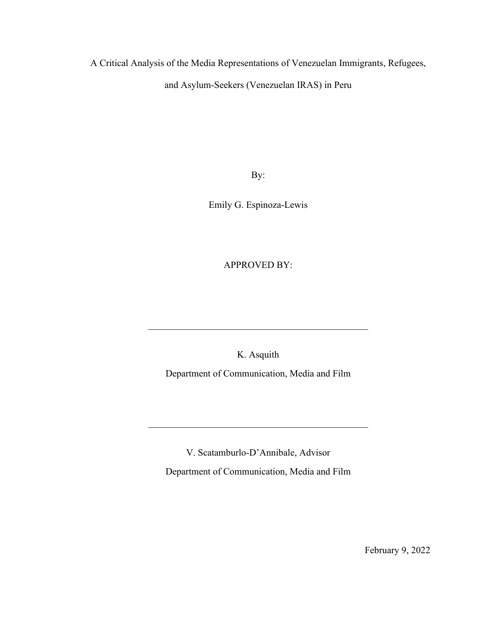A Critical Analysis of the Media Representations of Venezuelan Immigrants, Refugees,

and Asylum-Seekers (Venezuelan IRAS) in Peru

By:

Emily G. Espinoza-Lewis

APPROVED BY:

K. Asquith

Department of Communication, Media and Film

V. Scatamburlo-D'Annibale, Advisor Department of Communication, Media and Film

February 9, 2022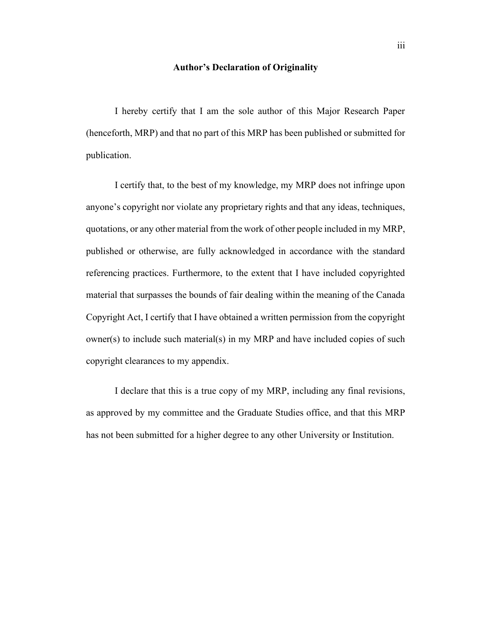#### **Author's Declaration of Originality**

<span id="page-3-0"></span>I hereby certify that I am the sole author of this Major Research Paper (henceforth, MRP) and that no part of this MRP has been published or submitted for publication.

I certify that, to the best of my knowledge, my MRP does not infringe upon anyone's copyright nor violate any proprietary rights and that any ideas, techniques, quotations, or any other material from the work of other people included in my MRP, published or otherwise, are fully acknowledged in accordance with the standard referencing practices. Furthermore, to the extent that I have included copyrighted material that surpasses the bounds of fair dealing within the meaning of the Canada Copyright Act, I certify that I have obtained a written permission from the copyright owner(s) to include such material(s) in my MRP and have included copies of such copyright clearances to my appendix.

I declare that this is a true copy of my MRP, including any final revisions, as approved by my committee and the Graduate Studies office, and that this MRP has not been submitted for a higher degree to any other University or Institution.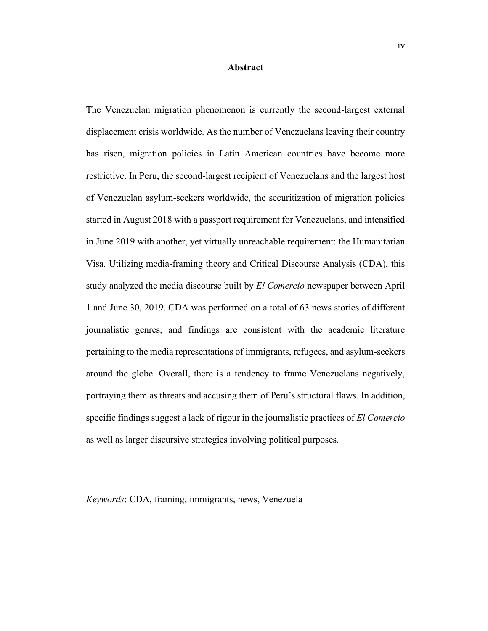#### **Abstract**

<span id="page-4-0"></span>The Venezuelan migration phenomenon is currently the second-largest external displacement crisis worldwide. As the number of Venezuelans leaving their country has risen, migration policies in Latin American countries have become more restrictive. In Peru, the second-largest recipient of Venezuelans and the largest host of Venezuelan asylum-seekers worldwide, the securitization of migration policies started in August 2018 with a passport requirement for Venezuelans, and intensified in June 2019 with another, yet virtually unreachable requirement: the Humanitarian Visa. Utilizing media-framing theory and Critical Discourse Analysis (CDA), this study analyzed the media discourse built by *El Comercio* newspaper between April 1 and June 30, 2019. CDA was performed on a total of 63 news stories of different journalistic genres, and findings are consistent with the academic literature pertaining to the media representations of immigrants, refugees, and asylum-seekers around the globe. Overall, there is a tendency to frame Venezuelans negatively, portraying them as threats and accusing them of Peru's structural flaws. In addition, specific findings suggest a lack of rigour in the journalistic practices of *El Comercio* as well as larger discursive strategies involving political purposes.

*Keywords*: CDA, framing, immigrants, news, Venezuela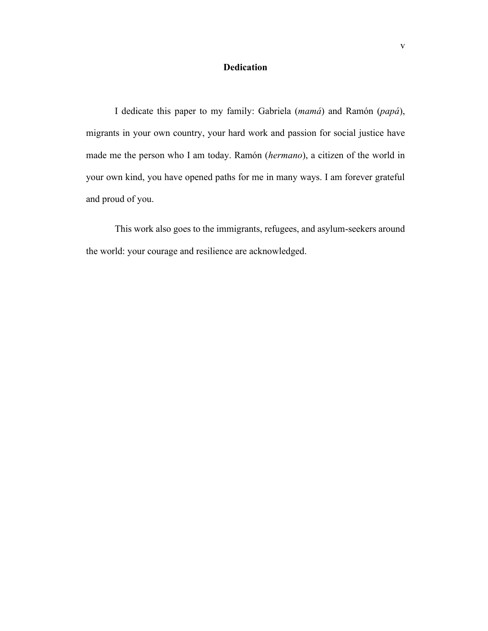#### **Dedication**

<span id="page-5-0"></span>I dedicate this paper to my family: Gabriela (*mamá*) and Ramón (*papá*), migrants in your own country, your hard work and passion for social justice have made me the person who I am today. Ramón (*hermano*), a citizen of the world in your own kind, you have opened paths for me in many ways. I am forever grateful and proud of you.

This work also goes to the immigrants, refugees, and asylum-seekers around the world: your courage and resilience are acknowledged.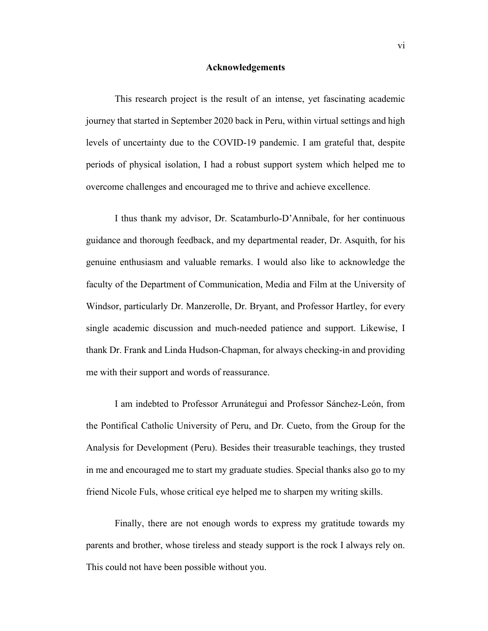#### **Acknowledgements**

<span id="page-6-0"></span>This research project is the result of an intense, yet fascinating academic journey that started in September 2020 back in Peru, within virtual settings and high levels of uncertainty due to the COVID-19 pandemic. I am grateful that, despite periods of physical isolation, I had a robust support system which helped me to overcome challenges and encouraged me to thrive and achieve excellence.

I thus thank my advisor, Dr. Scatamburlo-D'Annibale, for her continuous guidance and thorough feedback, and my departmental reader, Dr. Asquith, for his genuine enthusiasm and valuable remarks. I would also like to acknowledge the faculty of the Department of Communication, Media and Film at the University of Windsor, particularly Dr. Manzerolle, Dr. Bryant, and Professor Hartley, for every single academic discussion and much-needed patience and support. Likewise, I thank Dr. Frank and Linda Hudson-Chapman, for always checking-in and providing me with their support and words of reassurance.

I am indebted to Professor Arrunátegui and Professor Sánchez-León, from the Pontifical Catholic University of Peru, and Dr. Cueto, from the Group for the Analysis for Development (Peru). Besides their treasurable teachings, they trusted in me and encouraged me to start my graduate studies. Special thanks also go to my friend Nicole Fuls, whose critical eye helped me to sharpen my writing skills.

Finally, there are not enough words to express my gratitude towards my parents and brother, whose tireless and steady support is the rock I always rely on. This could not have been possible without you.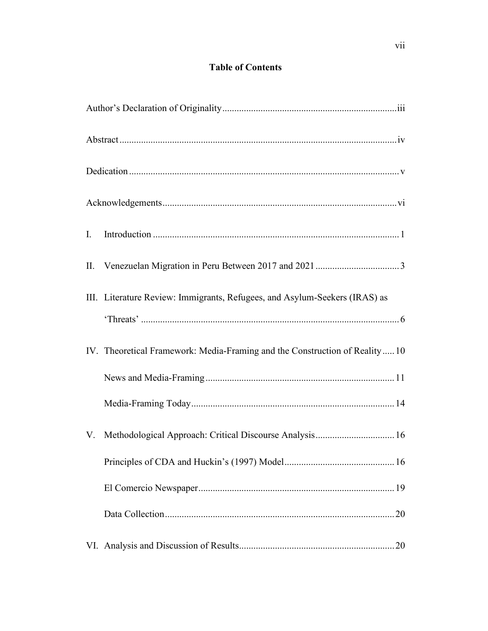### **Table of Contents**

| $\mathbf{I}$ . |                                                                              |
|----------------|------------------------------------------------------------------------------|
| П.             |                                                                              |
|                | III. Literature Review: Immigrants, Refugees, and Asylum-Seekers (IRAS) as   |
|                | IV. Theoretical Framework: Media-Framing and the Construction of Reality  10 |
|                |                                                                              |
|                |                                                                              |
| V.             | Methodological Approach: Critical Discourse Analysis 16                      |
|                |                                                                              |
|                |                                                                              |
|                |                                                                              |
|                |                                                                              |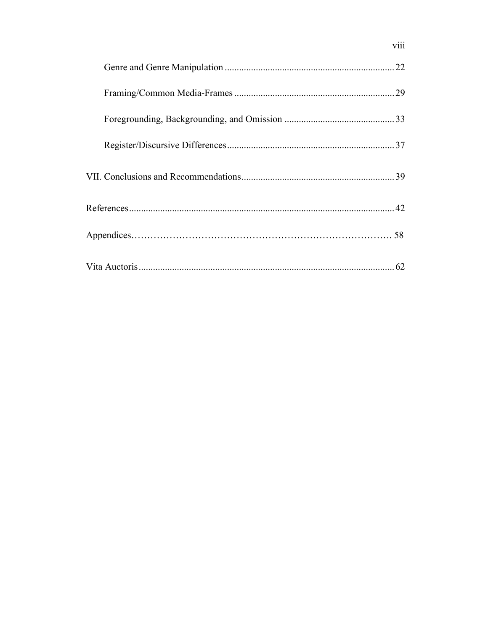viii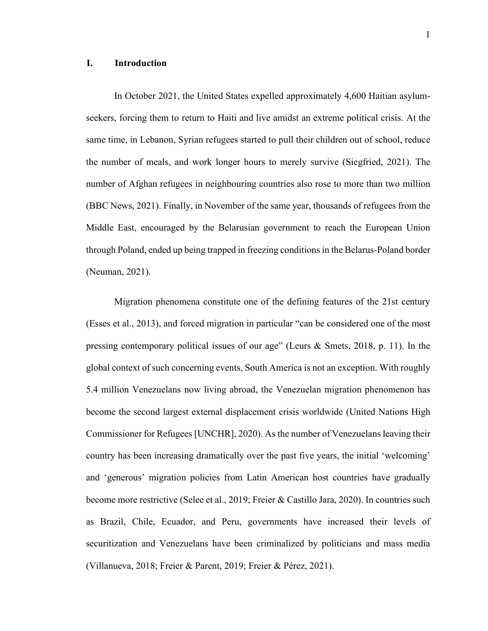#### <span id="page-9-0"></span>**I. Introduction**

In October 2021, the United States expelled approximately 4,600 Haitian asylumseekers, forcing them to return to Haiti and live amidst an extreme political crisis. At the same time, in Lebanon, Syrian refugees started to pull their children out of school, reduce the number of meals, and work longer hours to merely survive (Siegfried, 2021). The number of Afghan refugees in neighbouring countries also rose to more than two million (BBC News, 2021). Finally, in November of the same year, thousands of refugees from the Middle East, encouraged by the Belarusian government to reach the European Union through Poland, ended up being trapped in freezing conditions in the Belarus-Poland border (Neuman, 2021).

Migration phenomena constitute one of the defining features of the 21st century (Esses et al., 2013), and forced migration in particular "can be considered one of the most pressing contemporary political issues of our age" (Leurs & Smets, 2018, p. 11). In the global context of such concerning events, South America is not an exception. With roughly 5.4 million Venezuelans now living abroad, the Venezuelan migration phenomenon has become the second largest external displacement crisis worldwide (United Nations High Commissioner for Refugees [UNCHR], 2020). As the number of Venezuelans leaving their country has been increasing dramatically over the past five years, the initial 'welcoming' and 'generous' migration policies from Latin American host countries have gradually become more restrictive (Selee et al., 2019; Freier & Castillo Jara, 2020). In countries such as Brazil, Chile, Ecuador, and Peru, governments have increased their levels of securitization and Venezuelans have been criminalized by politicians and mass media (Villanueva, 2018; Freier & Parent, 2019; Freier & Pérez, 2021).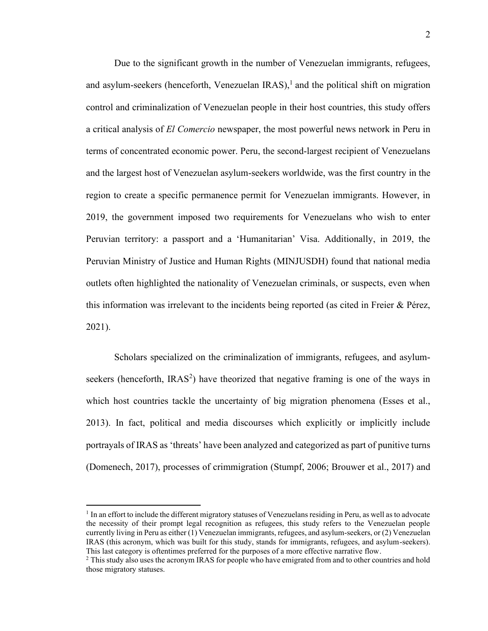Due to the significant growth in the number of Venezuelan immigrants, refugees, and asylum-seekers (henceforth, Venezuelan IRAS), 1 and the political shift on migration control and criminalization of Venezuelan people in their host countries, this study offers a critical analysis of *El Comercio* newspaper, the most powerful news network in Peru in terms of concentrated economic power. Peru, the second-largest recipient of Venezuelans and the largest host of Venezuelan asylum-seekers worldwide, was the first country in the region to create a specific permanence permit for Venezuelan immigrants. However, in 2019, the government imposed two requirements for Venezuelans who wish to enter Peruvian territory: a passport and a 'Humanitarian' Visa. Additionally, in 2019, the Peruvian Ministry of Justice and Human Rights (MINJUSDH) found that national media outlets often highlighted the nationality of Venezuelan criminals, or suspects, even when this information was irrelevant to the incidents being reported (as cited in Freier & Pérez, 2021).

Scholars specialized on the criminalization of immigrants, refugees, and asylumseekers (henceforth,  $IRAS<sup>2</sup>$ ) have theorized that negative framing is one of the ways in which host countries tackle the uncertainty of big migration phenomena (Esses et al., 2013). In fact, political and media discourses which explicitly or implicitly include portrayals of IRAS as 'threats' have been analyzed and categorized as part of punitive turns (Domenech, 2017), processes of crimmigration (Stumpf, 2006; Brouwer et al., 2017) and

<sup>&</sup>lt;sup>1</sup> In an effort to include the different migratory statuses of Venezuelans residing in Peru, as well as to advocate the necessity of their prompt legal recognition as refugees, this study refers to the Venezuelan people currently living in Peru as either (1) Venezuelan immigrants, refugees, and asylum-seekers, or (2) Venezuelan IRAS (this acronym, which was built for this study, stands for immigrants, refugees, and asylum-seekers). This last category is oftentimes preferred for the purposes of a more effective narrative flow.

<sup>&</sup>lt;sup>2</sup> This study also uses the acronym IRAS for people who have emigrated from and to other countries and hold those migratory statuses.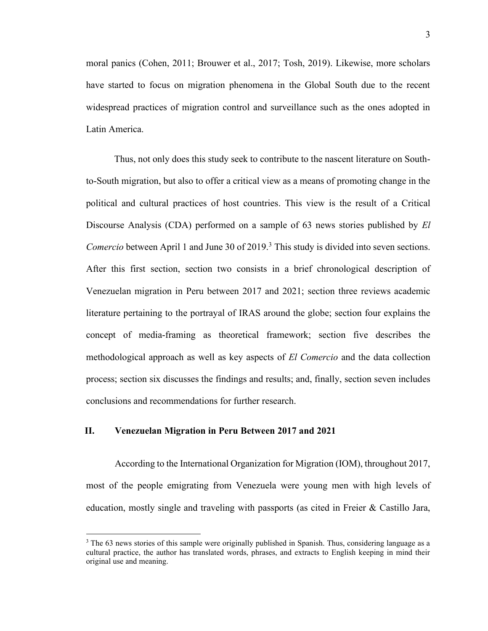moral panics (Cohen, 2011; Brouwer et al., 2017; Tosh, 2019). Likewise, more scholars have started to focus on migration phenomena in the Global South due to the recent widespread practices of migration control and surveillance such as the ones adopted in Latin America.

Thus, not only does this study seek to contribute to the nascent literature on Southto-South migration, but also to offer a critical view as a means of promoting change in the political and cultural practices of host countries. This view is the result of a Critical Discourse Analysis (CDA) performed on a sample of 63 news stories published by *El Comercio* between April 1 and June 30 of 2019.<sup>3</sup> This study is divided into seven sections. After this first section, section two consists in a brief chronological description of Venezuelan migration in Peru between 2017 and 2021; section three reviews academic literature pertaining to the portrayal of IRAS around the globe; section four explains the concept of media-framing as theoretical framework; section five describes the methodological approach as well as key aspects of *El Comercio* and the data collection process; section six discusses the findings and results; and, finally, section seven includes conclusions and recommendations for further research.

#### <span id="page-11-0"></span>**II. Venezuelan Migration in Peru Between 2017 and 2021**

According to the International Organization for Migration (IOM), throughout 2017, most of the people emigrating from Venezuela were young men with high levels of education, mostly single and traveling with passports (as cited in Freier & Castillo Jara,

<sup>&</sup>lt;sup>3</sup> The 63 news stories of this sample were originally published in Spanish. Thus, considering language as a cultural practice, the author has translated words, phrases, and extracts to English keeping in mind their original use and meaning.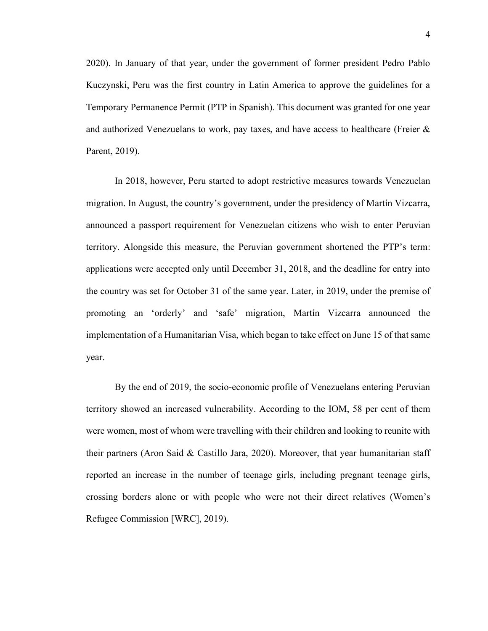2020). In January of that year, under the government of former president Pedro Pablo Kuczynski, Peru was the first country in Latin America to approve the guidelines for a Temporary Permanence Permit (PTP in Spanish). This document was granted for one year and authorized Venezuelans to work, pay taxes, and have access to healthcare (Freier & Parent, 2019).

In 2018, however, Peru started to adopt restrictive measures towards Venezuelan migration. In August, the country's government, under the presidency of Martín Vizcarra, announced a passport requirement for Venezuelan citizens who wish to enter Peruvian territory. Alongside this measure, the Peruvian government shortened the PTP's term: applications were accepted only until December 31, 2018, and the deadline for entry into the country was set for October 31 of the same year. Later, in 2019, under the premise of promoting an 'orderly' and 'safe' migration, Martín Vizcarra announced the implementation of a Humanitarian Visa, which began to take effect on June 15 of that same year.

By the end of 2019, the socio-economic profile of Venezuelans entering Peruvian territory showed an increased vulnerability. According to the IOM, 58 per cent of them were women, most of whom were travelling with their children and looking to reunite with their partners (Aron Said & Castillo Jara, 2020). Moreover, that year humanitarian staff reported an increase in the number of teenage girls, including pregnant teenage girls, crossing borders alone or with people who were not their direct relatives (Women's Refugee Commission [WRC], 2019).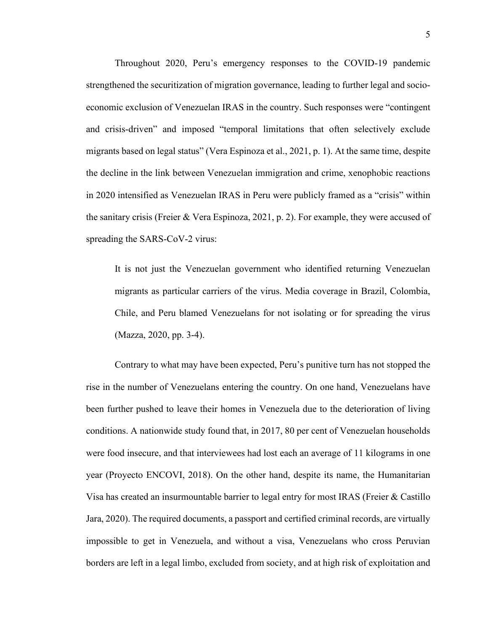Throughout 2020, Peru's emergency responses to the COVID-19 pandemic strengthened the securitization of migration governance, leading to further legal and socioeconomic exclusion of Venezuelan IRAS in the country. Such responses were "contingent and crisis-driven" and imposed "temporal limitations that often selectively exclude migrants based on legal status" (Vera Espinoza et al., 2021, p. 1). At the same time, despite the decline in the link between Venezuelan immigration and crime, xenophobic reactions in 2020 intensified as Venezuelan IRAS in Peru were publicly framed as a "crisis" within the sanitary crisis (Freier & Vera Espinoza, 2021, p. 2). For example, they were accused of spreading the SARS-CoV-2 virus:

It is not just the Venezuelan government who identified returning Venezuelan migrants as particular carriers of the virus. Media coverage in Brazil, Colombia, Chile, and Peru blamed Venezuelans for not isolating or for spreading the virus (Mazza, 2020, pp. 3-4).

Contrary to what may have been expected, Peru's punitive turn has not stopped the rise in the number of Venezuelans entering the country. On one hand, Venezuelans have been further pushed to leave their homes in Venezuela due to the deterioration of living conditions. A nationwide study found that, in 2017, 80 per cent of Venezuelan households were food insecure, and that interviewees had lost each an average of 11 kilograms in one year (Proyecto ENCOVI, 2018). On the other hand, despite its name, the Humanitarian Visa has created an insurmountable barrier to legal entry for most IRAS (Freier & Castillo Jara, 2020). The required documents, a passport and certified criminal records, are virtually impossible to get in Venezuela, and without a visa, Venezuelans who cross Peruvian borders are left in a legal limbo, excluded from society, and at high risk of exploitation and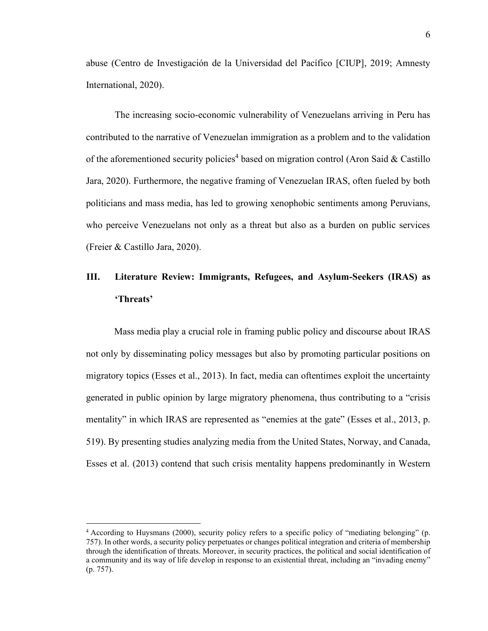abuse (Centro de Investigación de la Universidad del Pacífico [CIUP], 2019; Amnesty International, 2020).

The increasing socio-economic vulnerability of Venezuelans arriving in Peru has contributed to the narrative of Venezuelan immigration as a problem and to the validation of the aforementioned security policies<sup>4</sup> based on migration control (Aron Said & Castillo Jara, 2020). Furthermore, the negative framing of Venezuelan IRAS, often fueled by both politicians and mass media, has led to growing xenophobic sentiments among Peruvians, who perceive Venezuelans not only as a threat but also as a burden on public services (Freier & Castillo Jara, 2020).

# <span id="page-14-0"></span>**III. Literature Review: Immigrants, Refugees, and Asylum-Seekers (IRAS) as 'Threats'**

Mass media play a crucial role in framing public policy and discourse about IRAS not only by disseminating policy messages but also by promoting particular positions on migratory topics (Esses et al., 2013). In fact, media can oftentimes exploit the uncertainty generated in public opinion by large migratory phenomena, thus contributing to a "crisis mentality" in which IRAS are represented as "enemies at the gate" (Esses et al., 2013, p. 519). By presenting studies analyzing media from the United States, Norway, and Canada, Esses et al. (2013) contend that such crisis mentality happens predominantly in Western

<sup>4</sup> According to Huysmans (2000), security policy refers to a specific policy of "mediating belonging" (p. 757). In other words, a security policy perpetuates or changes political integration and criteria of membership through the identification of threats. Moreover, in security practices, the political and social identification of a community and its way of life develop in response to an existential threat, including an "invading enemy" (p. 757).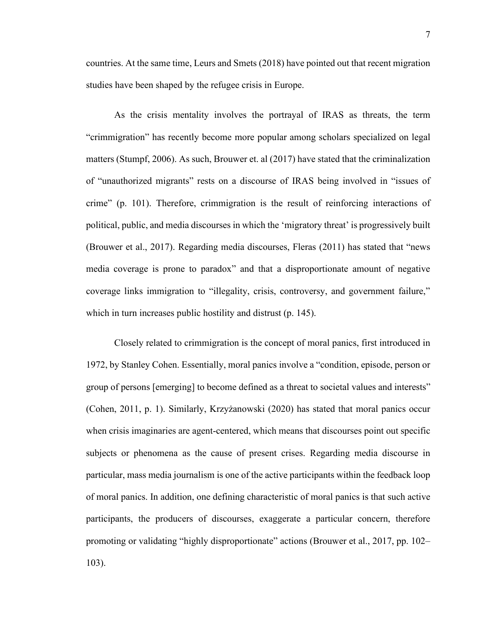countries. At the same time, Leurs and Smets (2018) have pointed out that recent migration studies have been shaped by the refugee crisis in Europe.

As the crisis mentality involves the portrayal of IRAS as threats, the term "crimmigration" has recently become more popular among scholars specialized on legal matters (Stumpf, 2006). As such, Brouwer et. al (2017) have stated that the criminalization of "unauthorized migrants" rests on a discourse of IRAS being involved in "issues of crime" (p. 101). Therefore, crimmigration is the result of reinforcing interactions of political, public, and media discourses in which the 'migratory threat' is progressively built (Brouwer et al., 2017). Regarding media discourses, Fleras (2011) has stated that "news media coverage is prone to paradox" and that a disproportionate amount of negative coverage links immigration to "illegality, crisis, controversy, and government failure," which in turn increases public hostility and distrust (p. 145).

Closely related to crimmigration is the concept of moral panics, first introduced in 1972, by Stanley Cohen. Essentially, moral panics involve a "condition, episode, person or group of persons [emerging] to become defined as a threat to societal values and interests" (Cohen, 2011, p. 1). Similarly, Krzyżanowski (2020) has stated that moral panics occur when crisis imaginaries are agent-centered, which means that discourses point out specific subjects or phenomena as the cause of present crises. Regarding media discourse in particular, mass media journalism is one of the active participants within the feedback loop of moral panics. In addition, one defining characteristic of moral panics is that such active participants, the producers of discourses, exaggerate a particular concern, therefore promoting or validating "highly disproportionate" actions (Brouwer et al., 2017, pp. 102– 103).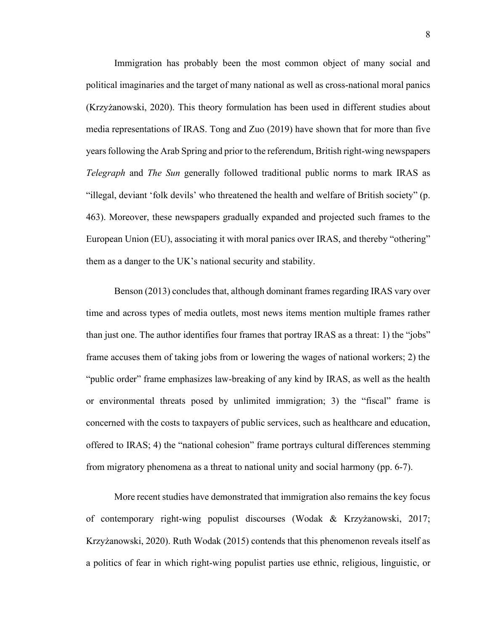Immigration has probably been the most common object of many social and political imaginaries and the target of many national as well as cross-national moral panics (Krzyżanowski, 2020). This theory formulation has been used in different studies about media representations of IRAS. Tong and Zuo (2019) have shown that for more than five years following the Arab Spring and prior to the referendum, British right-wing newspapers *Telegraph* and *The Sun* generally followed traditional public norms to mark IRAS as "illegal, deviant 'folk devils' who threatened the health and welfare of British society" (p. 463). Moreover, these newspapers gradually expanded and projected such frames to the European Union (EU), associating it with moral panics over IRAS, and thereby "othering" them as a danger to the UK's national security and stability.

Benson (2013) concludes that, although dominant frames regarding IRAS vary over time and across types of media outlets, most news items mention multiple frames rather than just one. The author identifies four frames that portray IRAS as a threat: 1) the "jobs" frame accuses them of taking jobs from or lowering the wages of national workers; 2) the "public order" frame emphasizes law-breaking of any kind by IRAS, as well as the health or environmental threats posed by unlimited immigration; 3) the "fiscal" frame is concerned with the costs to taxpayers of public services, such as healthcare and education, offered to IRAS; 4) the "national cohesion" frame portrays cultural differences stemming from migratory phenomena as a threat to national unity and social harmony (pp. 6-7).

More recent studies have demonstrated that immigration also remains the key focus of contemporary right-wing populist discourses (Wodak & Krzyżanowski, 2017; Krzyżanowski, 2020). Ruth Wodak (2015) contends that this phenomenon reveals itself as a politics of fear in which right-wing populist parties use ethnic, religious, linguistic, or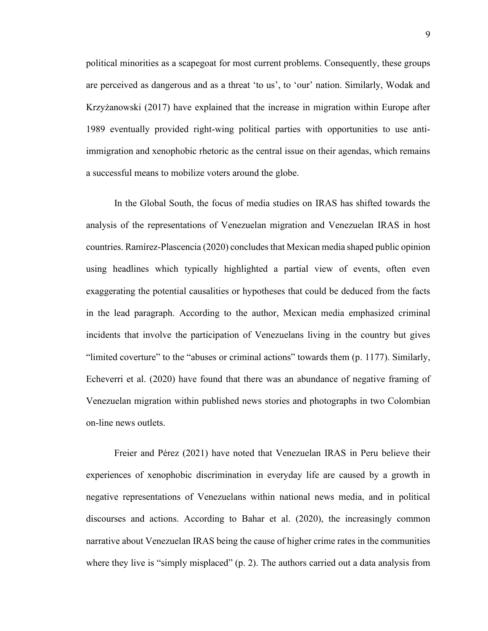political minorities as a scapegoat for most current problems. Consequently, these groups are perceived as dangerous and as a threat 'to us', to 'our' nation. Similarly, Wodak and Krzyżanowski (2017) have explained that the increase in migration within Europe after 1989 eventually provided right-wing political parties with opportunities to use antiimmigration and xenophobic rhetoric as the central issue on their agendas, which remains a successful means to mobilize voters around the globe.

In the Global South, the focus of media studies on IRAS has shifted towards the analysis of the representations of Venezuelan migration and Venezuelan IRAS in host countries. Ramírez-Plascencia (2020) concludes that Mexican media shaped public opinion using headlines which typically highlighted a partial view of events, often even exaggerating the potential causalities or hypotheses that could be deduced from the facts in the lead paragraph. According to the author, Mexican media emphasized criminal incidents that involve the participation of Venezuelans living in the country but gives "limited coverture" to the "abuses or criminal actions" towards them (p. 1177). Similarly, Echeverri et al. (2020) have found that there was an abundance of negative framing of Venezuelan migration within published news stories and photographs in two Colombian on-line news outlets.

Freier and Pérez (2021) have noted that Venezuelan IRAS in Peru believe their experiences of xenophobic discrimination in everyday life are caused by a growth in negative representations of Venezuelans within national news media, and in political discourses and actions. According to Bahar et al. (2020), the increasingly common narrative about Venezuelan IRAS being the cause of higher crime rates in the communities where they live is "simply misplaced" (p. 2). The authors carried out a data analysis from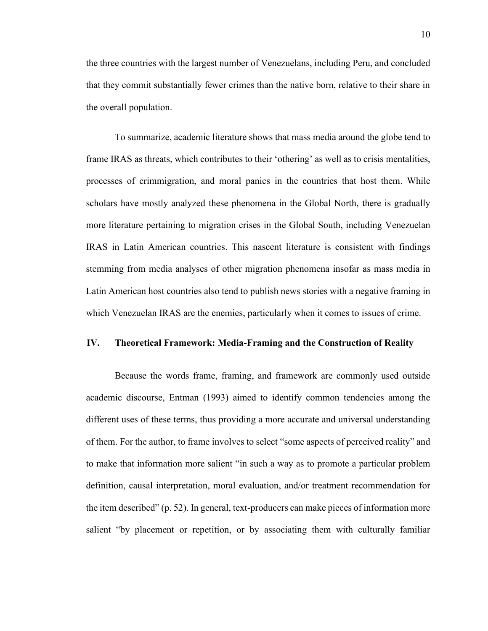the three countries with the largest number of Venezuelans, including Peru, and concluded that they commit substantially fewer crimes than the native born, relative to their share in the overall population.

To summarize, academic literature shows that mass media around the globe tend to frame IRAS as threats, which contributes to their 'othering' as well as to crisis mentalities, processes of crimmigration, and moral panics in the countries that host them. While scholars have mostly analyzed these phenomena in the Global North, there is gradually more literature pertaining to migration crises in the Global South, including Venezuelan IRAS in Latin American countries. This nascent literature is consistent with findings stemming from media analyses of other migration phenomena insofar as mass media in Latin American host countries also tend to publish news stories with a negative framing in which Venezuelan IRAS are the enemies, particularly when it comes to issues of crime.

#### <span id="page-18-0"></span>**IV. Theoretical Framework: Media-Framing and the Construction of Reality**

Because the words frame, framing, and framework are commonly used outside academic discourse, Entman (1993) aimed to identify common tendencies among the different uses of these terms, thus providing a more accurate and universal understanding of them. For the author, to frame involves to select "some aspects of perceived reality" and to make that information more salient "in such a way as to promote a particular problem definition, causal interpretation, moral evaluation, and/or treatment recommendation for the item described" (p. 52). In general, text-producers can make pieces of information more salient "by placement or repetition, or by associating them with culturally familiar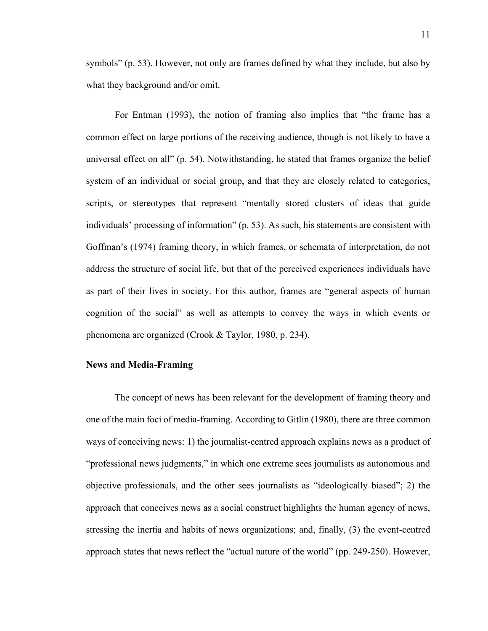symbols" (p. 53). However, not only are frames defined by what they include, but also by what they background and/or omit.

For Entman (1993), the notion of framing also implies that "the frame has a common effect on large portions of the receiving audience, though is not likely to have a universal effect on all" (p. 54). Notwithstanding, he stated that frames organize the belief system of an individual or social group, and that they are closely related to categories, scripts, or stereotypes that represent "mentally stored clusters of ideas that guide individuals' processing of information" (p. 53). As such, his statements are consistent with Goffman's (1974) framing theory, in which frames, or schemata of interpretation, do not address the structure of social life, but that of the perceived experiences individuals have as part of their lives in society. For this author, frames are "general aspects of human cognition of the social" as well as attempts to convey the ways in which events or phenomena are organized (Crook & Taylor, 1980, p. 234).

#### <span id="page-19-0"></span>**News and Media-Framing**

The concept of news has been relevant for the development of framing theory and one of the main foci of media-framing. According to Gitlin (1980), there are three common ways of conceiving news: 1) the journalist-centred approach explains news as a product of "professional news judgments," in which one extreme sees journalists as autonomous and objective professionals, and the other sees journalists as "ideologically biased"; 2) the approach that conceives news as a social construct highlights the human agency of news, stressing the inertia and habits of news organizations; and, finally, (3) the event-centred approach states that news reflect the "actual nature of the world" (pp. 249-250). However,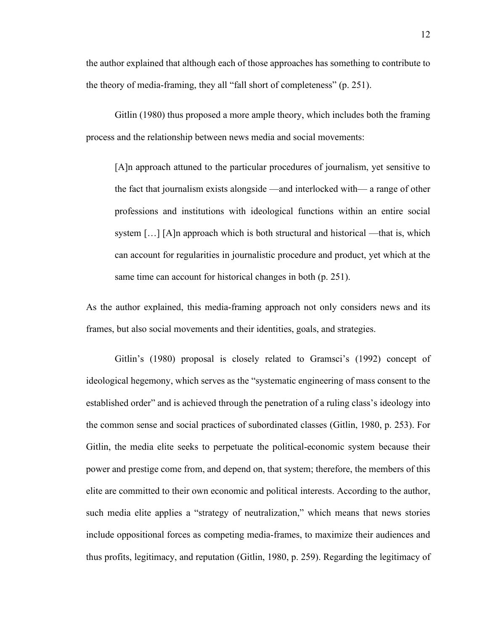the author explained that although each of those approaches has something to contribute to the theory of media-framing, they all "fall short of completeness" (p. 251).

Gitlin (1980) thus proposed a more ample theory, which includes both the framing process and the relationship between news media and social movements:

[A]n approach attuned to the particular procedures of journalism, yet sensitive to the fact that journalism exists alongside —and interlocked with— a range of other professions and institutions with ideological functions within an entire social system  $[\dots]$  [A]n approach which is both structural and historical —that is, which can account for regularities in journalistic procedure and product, yet which at the same time can account for historical changes in both (p. 251).

As the author explained, this media-framing approach not only considers news and its frames, but also social movements and their identities, goals, and strategies.

Gitlin's (1980) proposal is closely related to Gramsci's (1992) concept of ideological hegemony, which serves as the "systematic engineering of mass consent to the established order" and is achieved through the penetration of a ruling class's ideology into the common sense and social practices of subordinated classes (Gitlin, 1980, p. 253). For Gitlin, the media elite seeks to perpetuate the political-economic system because their power and prestige come from, and depend on, that system; therefore, the members of this elite are committed to their own economic and political interests. According to the author, such media elite applies a "strategy of neutralization," which means that news stories include oppositional forces as competing media-frames, to maximize their audiences and thus profits, legitimacy, and reputation (Gitlin, 1980, p. 259). Regarding the legitimacy of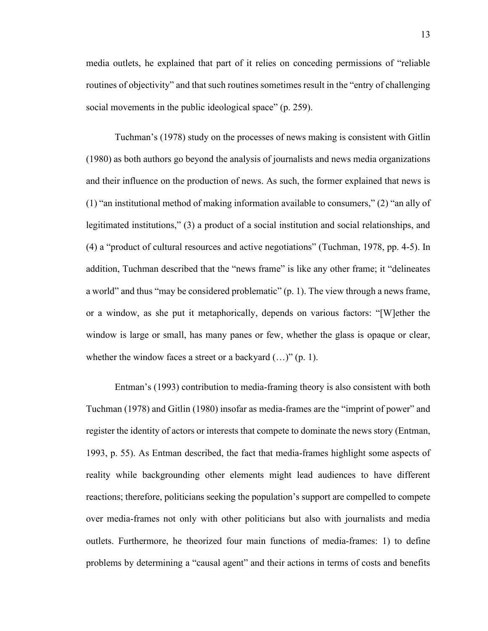media outlets, he explained that part of it relies on conceding permissions of "reliable routines of objectivity" and that such routines sometimes result in the "entry of challenging social movements in the public ideological space" (p. 259).

Tuchman's (1978) study on the processes of news making is consistent with Gitlin (1980) as both authors go beyond the analysis of journalists and news media organizations and their influence on the production of news. As such, the former explained that news is (1) "an institutional method of making information available to consumers," (2) "an ally of legitimated institutions," (3) a product of a social institution and social relationships, and (4) a "product of cultural resources and active negotiations" (Tuchman, 1978, pp. 4-5). In addition, Tuchman described that the "news frame" is like any other frame; it "delineates a world" and thus "may be considered problematic" (p. 1). The view through a news frame, or a window, as she put it metaphorically, depends on various factors: "[W]ether the window is large or small, has many panes or few, whether the glass is opaque or clear, whether the window faces a street or a backyard  $(...)$ " (p. 1).

Entman's (1993) contribution to media-framing theory is also consistent with both Tuchman (1978) and Gitlin (1980) insofar as media-frames are the "imprint of power" and register the identity of actors or interests that compete to dominate the news story (Entman, 1993, p. 55). As Entman described, the fact that media-frames highlight some aspects of reality while backgrounding other elements might lead audiences to have different reactions; therefore, politicians seeking the population's support are compelled to compete over media-frames not only with other politicians but also with journalists and media outlets. Furthermore, he theorized four main functions of media-frames: 1) to define problems by determining a "causal agent" and their actions in terms of costs and benefits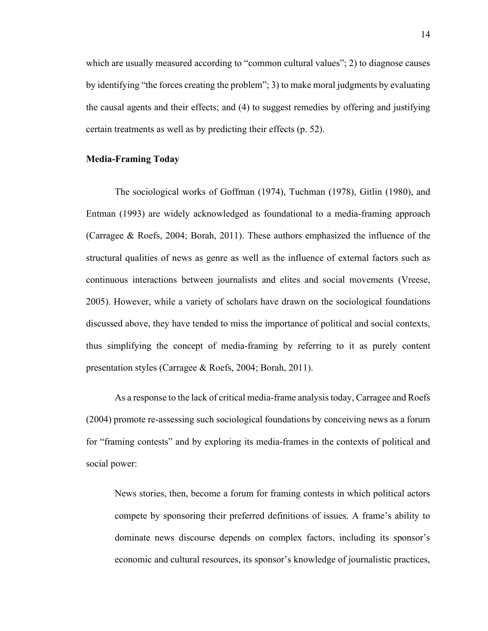which are usually measured according to "common cultural values"; 2) to diagnose causes by identifying "the forces creating the problem"; 3) to make moral judgments by evaluating the causal agents and their effects; and (4) to suggest remedies by offering and justifying certain treatments as well as by predicting their effects (p. 52).

#### <span id="page-22-0"></span>**Media-Framing Today**

The sociological works of Goffman (1974), Tuchman (1978), Gitlin (1980), and Entman (1993) are widely acknowledged as foundational to a media-framing approach (Carragee & Roefs, 2004; Borah, 2011). These authors emphasized the influence of the structural qualities of news as genre as well as the influence of external factors such as continuous interactions between journalists and elites and social movements (Vreese, 2005). However, while a variety of scholars have drawn on the sociological foundations discussed above, they have tended to miss the importance of political and social contexts, thus simplifying the concept of media-framing by referring to it as purely content presentation styles (Carragee & Roefs, 2004; Borah, 2011).

As a response to the lack of critical media-frame analysistoday, Carragee and Roefs (2004) promote re-assessing such sociological foundations by conceiving news as a forum for "framing contests" and by exploring its media-frames in the contexts of political and social power:

News stories, then, become a forum for framing contests in which political actors compete by sponsoring their preferred definitions of issues. A frame's ability to dominate news discourse depends on complex factors, including its sponsor's economic and cultural resources, its sponsor's knowledge of journalistic practices,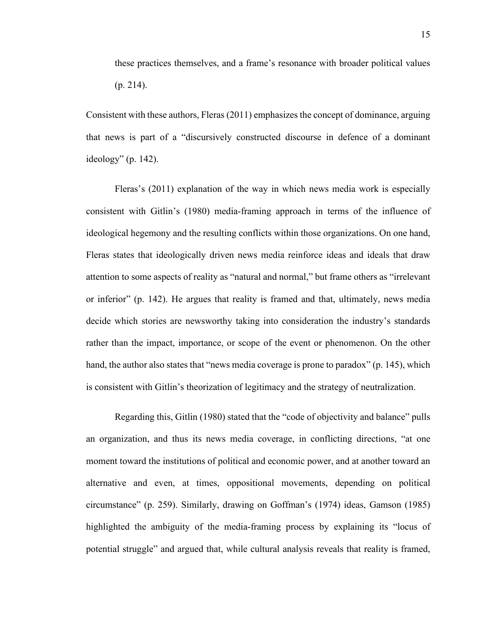Consistent with these authors, Fleras (2011) emphasizes the concept of dominance, arguing that news is part of a "discursively constructed discourse in defence of a dominant ideology" (p. 142).

Fleras's (2011) explanation of the way in which news media work is especially consistent with Gitlin's (1980) media-framing approach in terms of the influence of ideological hegemony and the resulting conflicts within those organizations. On one hand, Fleras states that ideologically driven news media reinforce ideas and ideals that draw attention to some aspects of reality as "natural and normal," but frame others as "irrelevant or inferior" (p. 142). He argues that reality is framed and that, ultimately, news media decide which stories are newsworthy taking into consideration the industry's standards rather than the impact, importance, or scope of the event or phenomenon. On the other hand, the author also states that "news media coverage is prone to paradox" (p. 145), which is consistent with Gitlin's theorization of legitimacy and the strategy of neutralization.

Regarding this, Gitlin (1980) stated that the "code of objectivity and balance" pulls an organization, and thus its news media coverage, in conflicting directions, "at one moment toward the institutions of political and economic power, and at another toward an alternative and even, at times, oppositional movements, depending on political circumstance" (p. 259). Similarly, drawing on Goffman's (1974) ideas, Gamson (1985) highlighted the ambiguity of the media-framing process by explaining its "locus of potential struggle" and argued that, while cultural analysis reveals that reality is framed,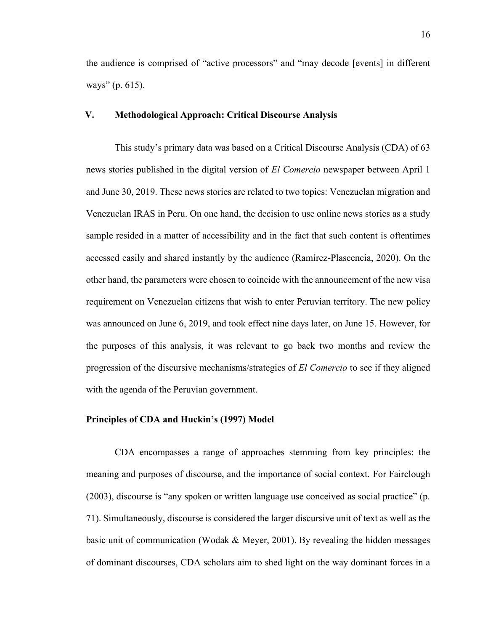the audience is comprised of "active processors" and "may decode [events] in different ways" (p. 615).

#### <span id="page-24-0"></span>**V. Methodological Approach: Critical Discourse Analysis**

This study's primary data was based on a Critical Discourse Analysis (CDA) of 63 news stories published in the digital version of *El Comercio* newspaper between April 1 and June 30, 2019. These news stories are related to two topics: Venezuelan migration and Venezuelan IRAS in Peru. On one hand, the decision to use online news stories as a study sample resided in a matter of accessibility and in the fact that such content is oftentimes accessed easily and shared instantly by the audience (Ramírez-Plascencia, 2020). On the other hand, the parameters were chosen to coincide with the announcement of the new visa requirement on Venezuelan citizens that wish to enter Peruvian territory. The new policy was announced on June 6, 2019, and took effect nine days later, on June 15. However, for the purposes of this analysis, it was relevant to go back two months and review the progression of the discursive mechanisms/strategies of *El Comercio* to see if they aligned with the agenda of the Peruvian government.

#### <span id="page-24-1"></span>**Principles of CDA and Huckin's (1997) Model**

CDA encompasses a range of approaches stemming from key principles: the meaning and purposes of discourse, and the importance of social context. For Fairclough (2003), discourse is "any spoken or written language use conceived as social practice" (p. 71). Simultaneously, discourse is considered the larger discursive unit of text as well as the basic unit of communication (Wodak & Meyer, 2001). By revealing the hidden messages of dominant discourses, CDA scholars aim to shed light on the way dominant forces in a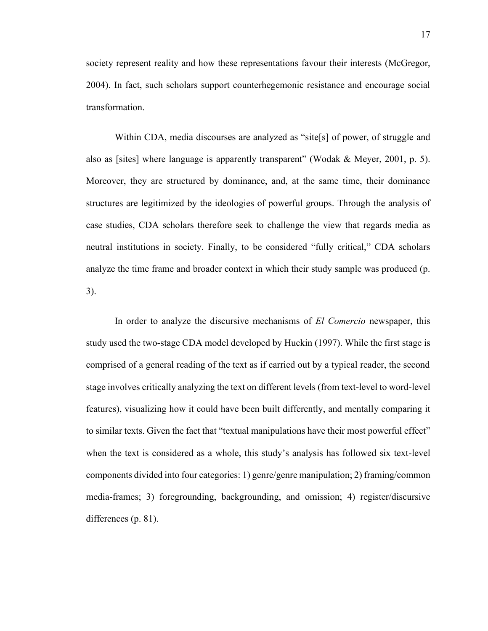society represent reality and how these representations favour their interests (McGregor, 2004). In fact, such scholars support counterhegemonic resistance and encourage social transformation.

Within CDA, media discourses are analyzed as "site[s] of power, of struggle and also as [sites] where language is apparently transparent" (Wodak & Meyer, 2001, p. 5). Moreover, they are structured by dominance, and, at the same time, their dominance structures are legitimized by the ideologies of powerful groups. Through the analysis of case studies, CDA scholars therefore seek to challenge the view that regards media as neutral institutions in society. Finally, to be considered "fully critical," CDA scholars analyze the time frame and broader context in which their study sample was produced (p. 3).

In order to analyze the discursive mechanisms of *El Comercio* newspaper, this study used the two-stage CDA model developed by Huckin (1997). While the first stage is comprised of a general reading of the text as if carried out by a typical reader, the second stage involves critically analyzing the text on different levels (from text-level to word-level features), visualizing how it could have been built differently, and mentally comparing it to similar texts. Given the fact that "textual manipulations have their most powerful effect" when the text is considered as a whole, this study's analysis has followed six text-level components divided into four categories: 1) genre/genre manipulation; 2) framing/common media-frames; 3) foregrounding, backgrounding, and omission; 4) register/discursive differences (p. 81).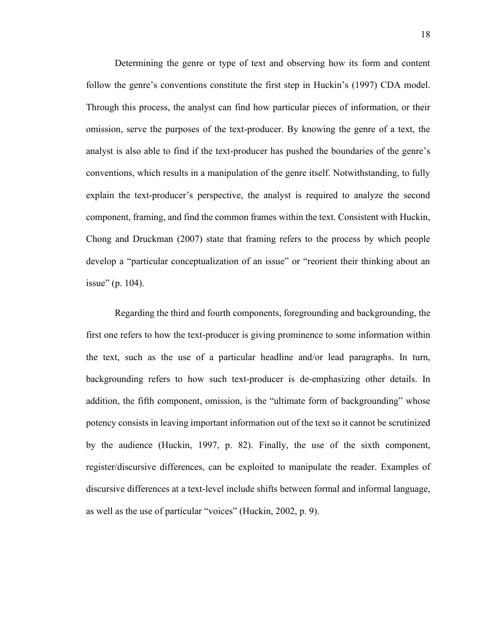Determining the genre or type of text and observing how its form and content follow the genre's conventions constitute the first step in Huckin's (1997) CDA model. Through this process, the analyst can find how particular pieces of information, or their omission, serve the purposes of the text-producer. By knowing the genre of a text, the analyst is also able to find if the text-producer has pushed the boundaries of the genre's conventions, which results in a manipulation of the genre itself. Notwithstanding, to fully explain the text-producer's perspective, the analyst is required to analyze the second component, framing, and find the common frames within the text. Consistent with Huckin, Chong and Druckman (2007) state that framing refers to the process by which people develop a "particular conceptualization of an issue" or "reorient their thinking about an issue" (p. 104).

Regarding the third and fourth components, foregrounding and backgrounding, the first one refers to how the text-producer is giving prominence to some information within the text, such as the use of a particular headline and/or lead paragraphs. In turn, backgrounding refers to how such text-producer is de-emphasizing other details. In addition, the fifth component, omission, is the "ultimate form of backgrounding" whose potency consists in leaving important information out of the text so it cannot be scrutinized by the audience (Huckin, 1997, p. 82). Finally, the use of the sixth component, register/discursive differences, can be exploited to manipulate the reader. Examples of discursive differences at a text-level include shifts between formal and informal language, as well as the use of particular "voices" (Huckin, 2002, p. 9).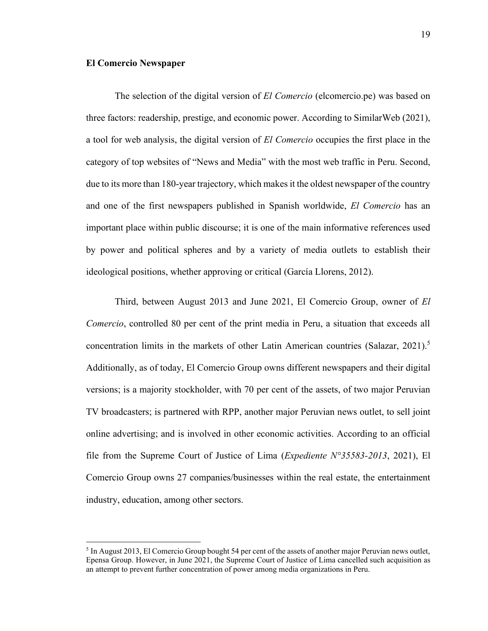#### <span id="page-27-0"></span>**El Comercio Newspaper**

The selection of the digital version of *El Comercio* (elcomercio.pe) was based on three factors: readership, prestige, and economic power. According to SimilarWeb (2021), a tool for web analysis, the digital version of *El Comercio* occupies the first place in the category of top websites of "News and Media" with the most web traffic in Peru. Second, due to its more than 180-year trajectory, which makes it the oldest newspaper of the country and one of the first newspapers published in Spanish worldwide, *El Comercio* has an important place within public discourse; it is one of the main informative references used by power and political spheres and by a variety of media outlets to establish their ideological positions, whether approving or critical (García Llorens, 2012).

Third, between August 2013 and June 2021, El Comercio Group, owner of *El Comercio*, controlled 80 per cent of the print media in Peru, a situation that exceeds all concentration limits in the markets of other Latin American countries (Salazar, 2021). 5 Additionally, as of today, El Comercio Group owns different newspapers and their digital versions; is a majority stockholder, with 70 per cent of the assets, of two major Peruvian TV broadcasters; is partnered with RPP, another major Peruvian news outlet, to sell joint online advertising; and is involved in other economic activities. According to an official file from the Supreme Court of Justice of Lima (*Expediente N°35583-2013*, 2021), El Comercio Group owns 27 companies/businesses within the real estate, the entertainment industry, education, among other sectors.

<sup>&</sup>lt;sup>5</sup> In August 2013, El Comercio Group bought 54 per cent of the assets of another major Peruvian news outlet, Epensa Group. However, in June 2021, the Supreme Court of Justice of Lima cancelled such acquisition as an attempt to prevent further concentration of power among media organizations in Peru.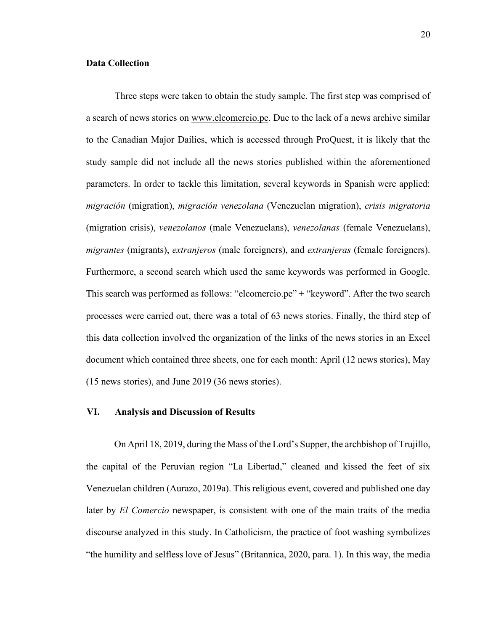#### <span id="page-28-0"></span>**Data Collection**

Three steps were taken to obtain the study sample. The first step was comprised of a search of news stories on www.elcomercio.pe. Due to the lack of a news archive similar to the Canadian Major Dailies, which is accessed through ProQuest, it is likely that the study sample did not include all the news stories published within the aforementioned parameters. In order to tackle this limitation, several keywords in Spanish were applied: *migración* (migration), *migración venezolana* (Venezuelan migration), *crisis migratoria* (migration crisis), *venezolanos* (male Venezuelans), *venezolanas* (female Venezuelans), *migrantes* (migrants), *extranjeros* (male foreigners), and *extranjeras* (female foreigners). Furthermore, a second search which used the same keywords was performed in Google. This search was performed as follows: "elcomercio.pe" + "keyword". After the two search processes were carried out, there was a total of 63 news stories. Finally, the third step of this data collection involved the organization of the links of the news stories in an Excel document which contained three sheets, one for each month: April (12 news stories), May (15 news stories), and June 2019 (36 news stories).

#### <span id="page-28-1"></span>**VI. Analysis and Discussion of Results**

On April 18, 2019, during the Mass of the Lord's Supper, the archbishop of Trujillo, the capital of the Peruvian region "La Libertad," cleaned and kissed the feet of six Venezuelan children (Aurazo, 2019a). This religious event, covered and published one day later by *El Comercio* newspaper, is consistent with one of the main traits of the media discourse analyzed in this study. In Catholicism, the practice of foot washing symbolizes "the humility and selfless love of Jesus" (Britannica, 2020, para. 1). In this way, the media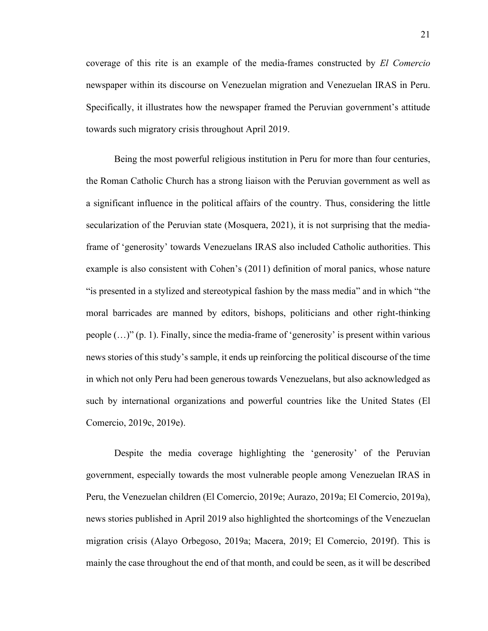coverage of this rite is an example of the media-frames constructed by *El Comercio* newspaper within its discourse on Venezuelan migration and Venezuelan IRAS in Peru. Specifically, it illustrates how the newspaper framed the Peruvian government's attitude towards such migratory crisis throughout April 2019.

Being the most powerful religious institution in Peru for more than four centuries, the Roman Catholic Church has a strong liaison with the Peruvian government as well as a significant influence in the political affairs of the country. Thus, considering the little secularization of the Peruvian state (Mosquera, 2021), it is not surprising that the mediaframe of 'generosity' towards Venezuelans IRAS also included Catholic authorities. This example is also consistent with Cohen's (2011) definition of moral panics, whose nature "is presented in a stylized and stereotypical fashion by the mass media" and in which "the moral barricades are manned by editors, bishops, politicians and other right-thinking people  $(...)$ " (p. 1). Finally, since the media-frame of 'generosity' is present within various news stories of this study's sample, it ends up reinforcing the political discourse of the time in which not only Peru had been generous towards Venezuelans, but also acknowledged as such by international organizations and powerful countries like the United States (El Comercio, 2019c, 2019e).

Despite the media coverage highlighting the 'generosity' of the Peruvian government, especially towards the most vulnerable people among Venezuelan IRAS in Peru, the Venezuelan children (El Comercio, 2019e; Aurazo, 2019a; El Comercio, 2019a), news stories published in April 2019 also highlighted the shortcomings of the Venezuelan migration crisis (Alayo Orbegoso, 2019a; Macera, 2019; El Comercio, 2019f). This is mainly the case throughout the end of that month, and could be seen, as it will be described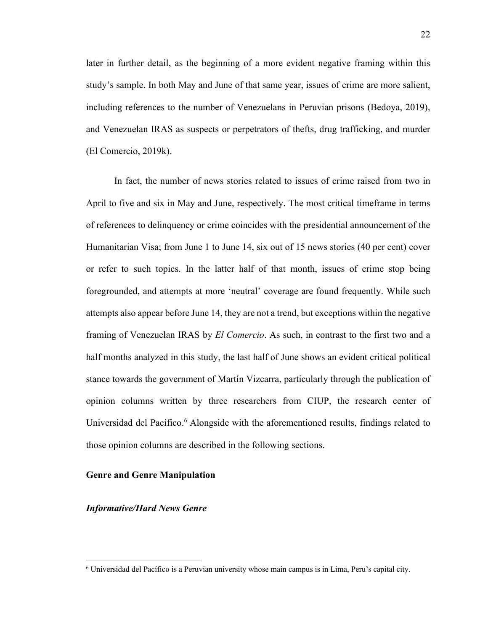later in further detail, as the beginning of a more evident negative framing within this study's sample. In both May and June of that same year, issues of crime are more salient, including references to the number of Venezuelans in Peruvian prisons (Bedoya, 2019), and Venezuelan IRAS as suspects or perpetrators of thefts, drug trafficking, and murder (El Comercio, 2019k).

In fact, the number of news stories related to issues of crime raised from two in April to five and six in May and June, respectively. The most critical timeframe in terms of references to delinquency or crime coincides with the presidential announcement of the Humanitarian Visa; from June 1 to June 14, six out of 15 news stories (40 per cent) cover or refer to such topics. In the latter half of that month, issues of crime stop being foregrounded, and attempts at more 'neutral' coverage are found frequently. While such attempts also appear before June 14, they are not a trend, but exceptions within the negative framing of Venezuelan IRAS by *El Comercio*. As such, in contrast to the first two and a half months analyzed in this study, the last half of June shows an evident critical political stance towards the government of Martín Vizcarra, particularly through the publication of opinion columns written by three researchers from CIUP, the research center of Universidad del Pacífico.<sup>6</sup> Alongside with the aforementioned results, findings related to those opinion columns are described in the following sections.

#### <span id="page-30-0"></span>**Genre and Genre Manipulation**

#### *Informative/Hard News Genre*

<sup>6</sup> Universidad del Pacífico is a Peruvian university whose main campus is in Lima, Peru's capital city.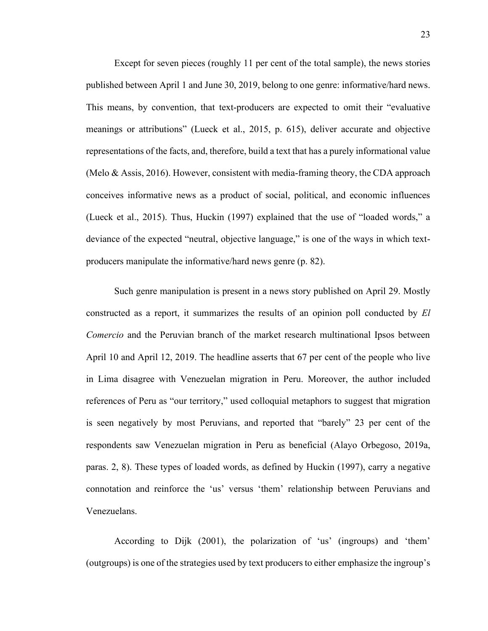Except for seven pieces (roughly 11 per cent of the total sample), the news stories published between April 1 and June 30, 2019, belong to one genre: informative/hard news. This means, by convention, that text-producers are expected to omit their "evaluative meanings or attributions" (Lueck et al., 2015, p. 615), deliver accurate and objective representations of the facts, and, therefore, build a text that has a purely informational value (Melo & Assis, 2016). However, consistent with media-framing theory, the CDA approach conceives informative news as a product of social, political, and economic influences (Lueck et al., 2015). Thus, Huckin (1997) explained that the use of "loaded words," a deviance of the expected "neutral, objective language," is one of the ways in which textproducers manipulate the informative/hard news genre (p. 82).

Such genre manipulation is present in a news story published on April 29. Mostly constructed as a report, it summarizes the results of an opinion poll conducted by *El Comercio* and the Peruvian branch of the market research multinational Ipsos between April 10 and April 12, 2019. The headline asserts that 67 per cent of the people who live in Lima disagree with Venezuelan migration in Peru. Moreover, the author included references of Peru as "our territory," used colloquial metaphors to suggest that migration is seen negatively by most Peruvians, and reported that "barely" 23 per cent of the respondents saw Venezuelan migration in Peru as beneficial (Alayo Orbegoso, 2019a, paras. 2, 8). These types of loaded words, as defined by Huckin (1997), carry a negative connotation and reinforce the 'us' versus 'them' relationship between Peruvians and Venezuelans.

According to Dijk (2001), the polarization of 'us' (ingroups) and 'them' (outgroups) is one of the strategies used by text producers to either emphasize the ingroup's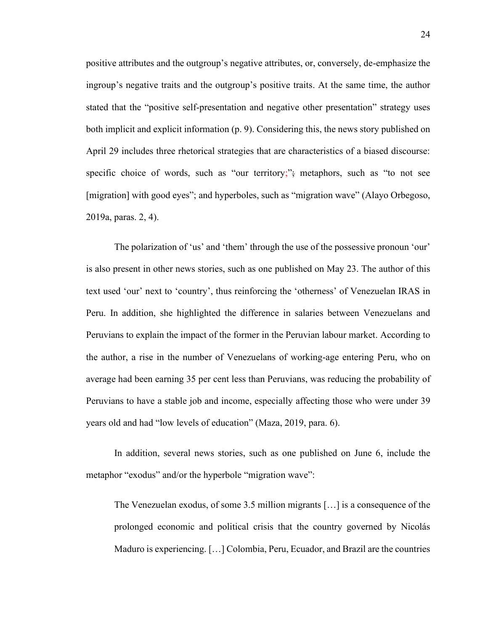positive attributes and the outgroup's negative attributes, or, conversely, de-emphasize the ingroup's negative traits and the outgroup's positive traits. At the same time, the author stated that the "positive self-presentation and negative other presentation" strategy uses both implicit and explicit information (p. 9). Considering this, the news story published on April 29 includes three rhetorical strategies that are characteristics of a biased discourse: specific choice of words, such as "our territory;"; metaphors, such as "to not see [migration] with good eyes"; and hyperboles, such as "migration wave" (Alayo Orbegoso, 2019a, paras. 2, 4).

The polarization of 'us' and 'them' through the use of the possessive pronoun 'our' is also present in other news stories, such as one published on May 23. The author of this text used 'our' next to 'country', thus reinforcing the 'otherness' of Venezuelan IRAS in Peru. In addition, she highlighted the difference in salaries between Venezuelans and Peruvians to explain the impact of the former in the Peruvian labour market. According to the author, a rise in the number of Venezuelans of working-age entering Peru, who on average had been earning 35 per cent less than Peruvians, was reducing the probability of Peruvians to have a stable job and income, especially affecting those who were under 39 years old and had "low levels of education" (Maza, 2019, para. 6).

In addition, several news stories, such as one published on June 6, include the metaphor "exodus" and/or the hyperbole "migration wave":

The Venezuelan exodus, of some 3.5 million migrants […] is a consequence of the prolonged economic and political crisis that the country governed by Nicolás Maduro is experiencing. […] Colombia, Peru, Ecuador, and Brazil are the countries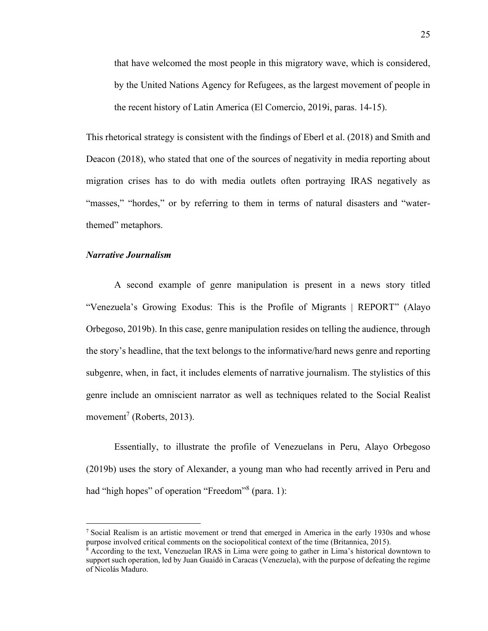that have welcomed the most people in this migratory wave, which is considered, by the United Nations Agency for Refugees, as the largest movement of people in the recent history of Latin America (El Comercio, 2019i, paras. 14-15).

This rhetorical strategy is consistent with the findings of Eberl et al. (2018) and Smith and Deacon (2018), who stated that one of the sources of negativity in media reporting about migration crises has to do with media outlets often portraying IRAS negatively as "masses," "hordes," or by referring to them in terms of natural disasters and "waterthemed" metaphors.

#### *Narrative Journalism*

A second example of genre manipulation is present in a news story titled "Venezuela's Growing Exodus: This is the Profile of Migrants | REPORT" (Alayo Orbegoso, 2019b). In this case, genre manipulation resides on telling the audience, through the story's headline, that the text belongs to the informative/hard news genre and reporting subgenre, when, in fact, it includes elements of narrative journalism. The stylistics of this genre include an omniscient narrator as well as techniques related to the Social Realist movement<sup>7</sup> (Roberts, 2013).

Essentially, to illustrate the profile of Venezuelans in Peru, Alayo Orbegoso (2019b) uses the story of Alexander, a young man who had recently arrived in Peru and had "high hopes" of operation "Freedom"<sup>8</sup> (para. 1):

<sup>&</sup>lt;sup>7</sup> Social Realism is an artistic movement or trend that emerged in America in the early 1930s and whose purpose involved critical comments on the sociopolitical context of the time (Britannica, 2015).

<sup>8</sup> According to the text, Venezuelan IRAS in Lima were going to gather in Lima's historical downtown to support such operation, led by Juan Guaidó in Caracas (Venezuela), with the purpose of defeating the regime of Nicolás Maduro.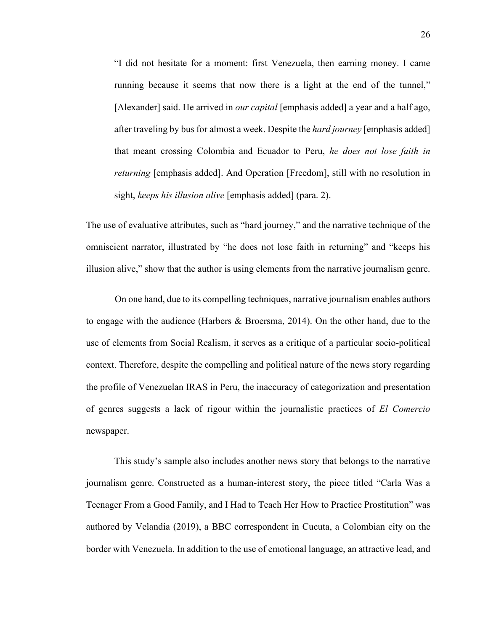"I did not hesitate for a moment: first Venezuela, then earning money. I came running because it seems that now there is a light at the end of the tunnel," [Alexander] said. He arrived in *our capital* [emphasis added] a year and a half ago, after traveling by bus for almost a week. Despite the *hard journey* [emphasis added] that meant crossing Colombia and Ecuador to Peru, *he does not lose faith in returning* [emphasis added]. And Operation [Freedom], still with no resolution in sight, *keeps his illusion alive* [emphasis added] (para. 2).

The use of evaluative attributes, such as "hard journey," and the narrative technique of the omniscient narrator, illustrated by "he does not lose faith in returning" and "keeps his illusion alive," show that the author is using elements from the narrative journalism genre.

On one hand, due to its compelling techniques, narrative journalism enables authors to engage with the audience (Harbers & Broersma, 2014). On the other hand, due to the use of elements from Social Realism, it serves as a critique of a particular socio-political context. Therefore, despite the compelling and political nature of the news story regarding the profile of Venezuelan IRAS in Peru, the inaccuracy of categorization and presentation of genres suggests a lack of rigour within the journalistic practices of *El Comercio* newspaper.

This study's sample also includes another news story that belongs to the narrative journalism genre. Constructed as a human-interest story, the piece titled "Carla Was a Teenager From a Good Family, and I Had to Teach Her How to Practice Prostitution" was authored by Velandia (2019), a BBC correspondent in Cucuta, a Colombian city on the border with Venezuela. In addition to the use of emotional language, an attractive lead, and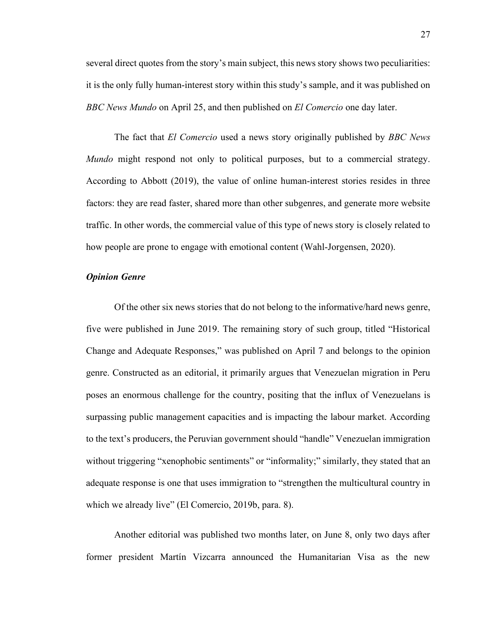several direct quotes from the story's main subject, this news story shows two peculiarities: it is the only fully human-interest story within this study's sample, and it was published on *BBC News Mundo* on April 25, and then published on *El Comercio* one day later.

The fact that *El Comercio* used a news story originally published by *BBC News Mundo* might respond not only to political purposes, but to a commercial strategy. According to Abbott (2019), the value of online human-interest stories resides in three factors: they are read faster, shared more than other subgenres, and generate more website traffic. In other words, the commercial value of this type of news story is closely related to how people are prone to engage with emotional content (Wahl-Jorgensen, 2020).

#### *Opinion Genre*

Of the other six news stories that do not belong to the informative/hard news genre, five were published in June 2019. The remaining story of such group, titled "Historical Change and Adequate Responses," was published on April 7 and belongs to the opinion genre. Constructed as an editorial, it primarily argues that Venezuelan migration in Peru poses an enormous challenge for the country, positing that the influx of Venezuelans is surpassing public management capacities and is impacting the labour market. According to the text's producers, the Peruvian government should "handle" Venezuelan immigration without triggering "xenophobic sentiments" or "informality;" similarly, they stated that an adequate response is one that uses immigration to "strengthen the multicultural country in which we already live" (El Comercio, 2019b, para. 8).

Another editorial was published two months later, on June 8, only two days after former president Martín Vizcarra announced the Humanitarian Visa as the new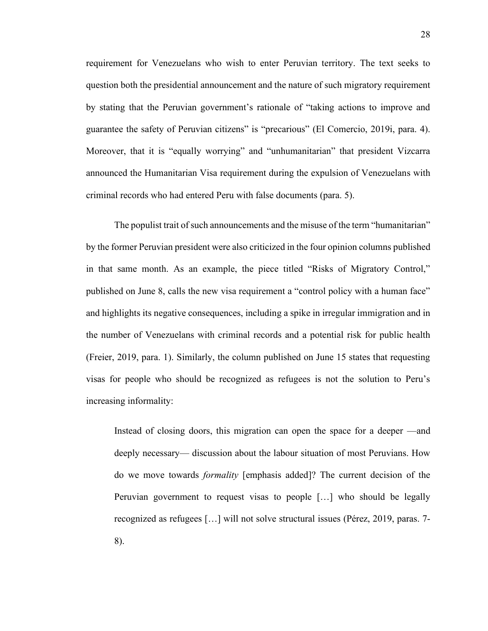requirement for Venezuelans who wish to enter Peruvian territory. The text seeks to question both the presidential announcement and the nature of such migratory requirement by stating that the Peruvian government's rationale of "taking actions to improve and guarantee the safety of Peruvian citizens" is "precarious" (El Comercio, 2019i, para. 4). Moreover, that it is "equally worrying" and "unhumanitarian" that president Vizcarra announced the Humanitarian Visa requirement during the expulsion of Venezuelans with criminal records who had entered Peru with false documents (para. 5).

The populist trait of such announcements and the misuse of the term "humanitarian" by the former Peruvian president were also criticized in the four opinion columns published in that same month. As an example, the piece titled "Risks of Migratory Control," published on June 8, calls the new visa requirement a "control policy with a human face" and highlights its negative consequences, including a spike in irregular immigration and in the number of Venezuelans with criminal records and a potential risk for public health (Freier, 2019, para. 1). Similarly, the column published on June 15 states that requesting visas for people who should be recognized as refugees is not the solution to Peru's increasing informality:

Instead of closing doors, this migration can open the space for a deeper —and deeply necessary— discussion about the labour situation of most Peruvians. How do we move towards *formality* [emphasis added]? The current decision of the Peruvian government to request visas to people […] who should be legally recognized as refugees […] will not solve structural issues (Pérez, 2019, paras. 7- 8).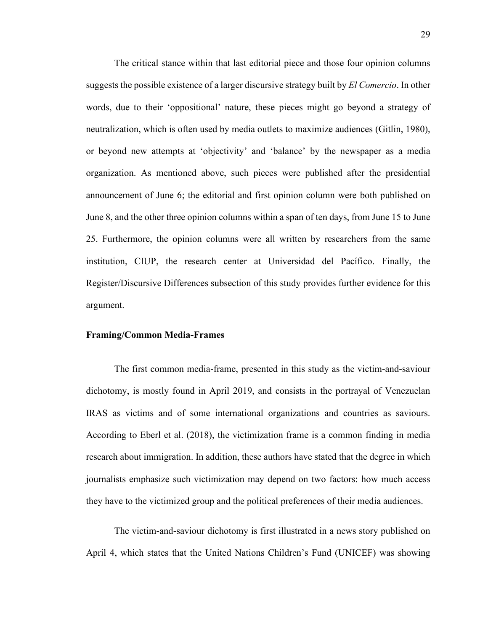The critical stance within that last editorial piece and those four opinion columns suggests the possible existence of a larger discursive strategy built by *El Comercio*. In other words, due to their 'oppositional' nature, these pieces might go beyond a strategy of neutralization, which is often used by media outlets to maximize audiences (Gitlin, 1980), or beyond new attempts at 'objectivity' and 'balance' by the newspaper as a media organization. As mentioned above, such pieces were published after the presidential announcement of June 6; the editorial and first opinion column were both published on June 8, and the other three opinion columns within a span of ten days, from June 15 to June 25. Furthermore, the opinion columns were all written by researchers from the same institution, CIUP, the research center at Universidad del Pacífico. Finally, the Register/Discursive Differences subsection of this study provides further evidence for this argument.

#### <span id="page-37-0"></span>**Framing/Common Media-Frames**

The first common media-frame, presented in this study as the victim-and-saviour dichotomy, is mostly found in April 2019, and consists in the portrayal of Venezuelan IRAS as victims and of some international organizations and countries as saviours. According to Eberl et al. (2018), the victimization frame is a common finding in media research about immigration. In addition, these authors have stated that the degree in which journalists emphasize such victimization may depend on two factors: how much access they have to the victimized group and the political preferences of their media audiences.

The victim-and-saviour dichotomy is first illustrated in a news story published on April 4, which states that the United Nations Children's Fund (UNICEF) was showing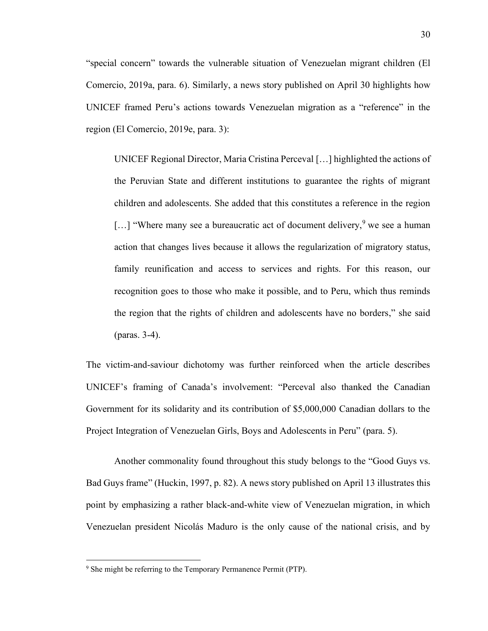"special concern" towards the vulnerable situation of Venezuelan migrant children (El Comercio, 2019a, para. 6). Similarly, a news story published on April 30 highlights how UNICEF framed Peru's actions towards Venezuelan migration as a "reference" in the region (El Comercio, 2019e, para. 3):

UNICEF Regional Director, Maria Cristina Perceval […] highlighted the actions of the Peruvian State and different institutions to guarantee the rights of migrant children and adolescents. She added that this constitutes a reference in the region  $\lceil$ ...] "Where many see a bureaucratic act of document delivery, we see a human action that changes lives because it allows the regularization of migratory status, family reunification and access to services and rights. For this reason, our recognition goes to those who make it possible, and to Peru, which thus reminds the region that the rights of children and adolescents have no borders," she said (paras. 3-4).

The victim-and-saviour dichotomy was further reinforced when the article describes UNICEF's framing of Canada's involvement: "Perceval also thanked the Canadian Government for its solidarity and its contribution of \$5,000,000 Canadian dollars to the Project Integration of Venezuelan Girls, Boys and Adolescents in Peru" (para. 5).

Another commonality found throughout this study belongs to the "Good Guys vs. Bad Guys frame" (Huckin, 1997, p. 82). A news story published on April 13 illustrates this point by emphasizing a rather black-and-white view of Venezuelan migration, in which Venezuelan president Nicolás Maduro is the only cause of the national crisis, and by

<sup>&</sup>lt;sup>9</sup> She might be referring to the Temporary Permanence Permit (PTP).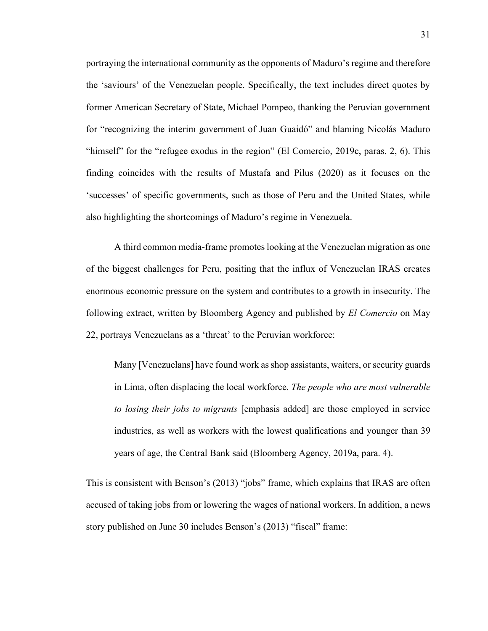portraying the international community as the opponents of Maduro's regime and therefore the 'saviours' of the Venezuelan people. Specifically, the text includes direct quotes by former American Secretary of State, Michael Pompeo, thanking the Peruvian government for "recognizing the interim government of Juan Guaidó" and blaming Nicolás Maduro "himself" for the "refugee exodus in the region" (El Comercio, 2019c, paras. 2, 6). This finding coincides with the results of Mustafa and Pilus (2020) as it focuses on the 'successes' of specific governments, such as those of Peru and the United States, while also highlighting the shortcomings of Maduro's regime in Venezuela.

A third common media-frame promotes looking at the Venezuelan migration as one of the biggest challenges for Peru, positing that the influx of Venezuelan IRAS creates enormous economic pressure on the system and contributes to a growth in insecurity. The following extract, written by Bloomberg Agency and published by *El Comercio* on May 22, portrays Venezuelans as a 'threat' to the Peruvian workforce:

Many [Venezuelans] have found work as shop assistants, waiters, or security guards in Lima, often displacing the local workforce. *The people who are most vulnerable to losing their jobs to migrants* [emphasis added] are those employed in service industries, as well as workers with the lowest qualifications and younger than 39 years of age, the Central Bank said (Bloomberg Agency, 2019a, para. 4).

This is consistent with Benson's (2013) "jobs" frame, which explains that IRAS are often accused of taking jobs from or lowering the wages of national workers. In addition, a news story published on June 30 includes Benson's (2013) "fiscal" frame: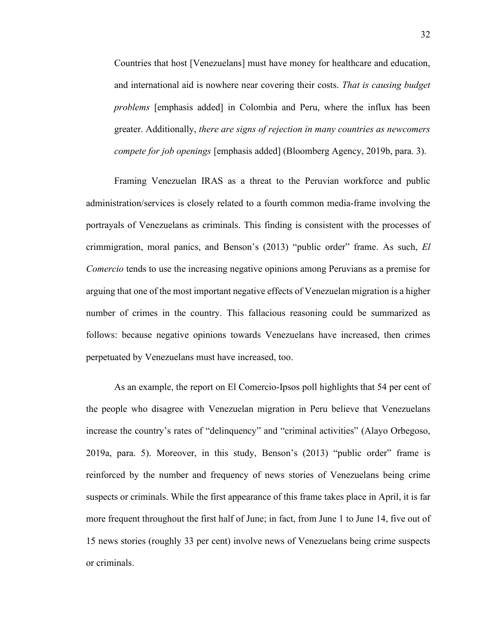Countries that host [Venezuelans] must have money for healthcare and education, and international aid is nowhere near covering their costs. *That is causing budget problems* [emphasis added] in Colombia and Peru, where the influx has been greater. Additionally, *there are signs of rejection in many countries as newcomers compete for job openings* [emphasis added] (Bloomberg Agency, 2019b, para. 3).

Framing Venezuelan IRAS as a threat to the Peruvian workforce and public administration/services is closely related to a fourth common media-frame involving the portrayals of Venezuelans as criminals. This finding is consistent with the processes of crimmigration, moral panics, and Benson's (2013) "public order" frame. As such, *El Comercio* tends to use the increasing negative opinions among Peruvians as a premise for arguing that one of the most important negative effects of Venezuelan migration is a higher number of crimes in the country. This fallacious reasoning could be summarized as follows: because negative opinions towards Venezuelans have increased, then crimes perpetuated by Venezuelans must have increased, too.

As an example, the report on El Comercio-Ipsos poll highlights that 54 per cent of the people who disagree with Venezuelan migration in Peru believe that Venezuelans increase the country's rates of "delinquency" and "criminal activities" (Alayo Orbegoso, 2019a, para. 5). Moreover, in this study, Benson's (2013) "public order" frame is reinforced by the number and frequency of news stories of Venezuelans being crime suspects or criminals. While the first appearance of this frame takes place in April, it is far more frequent throughout the first half of June; in fact, from June 1 to June 14, five out of 15 news stories (roughly 33 per cent) involve news of Venezuelans being crime suspects or criminals.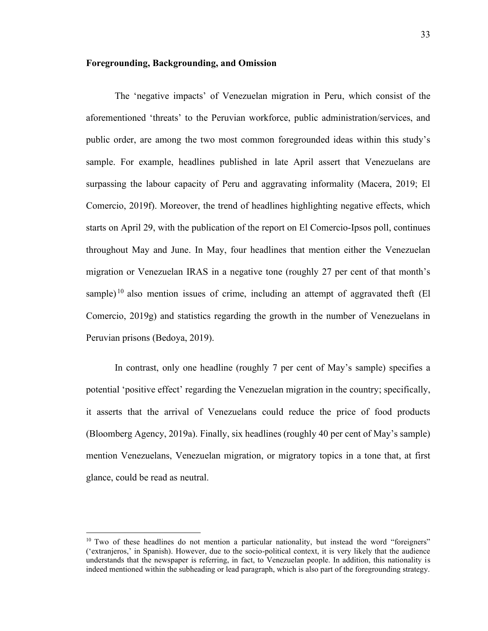#### <span id="page-41-0"></span>**Foregrounding, Backgrounding, and Omission**

The 'negative impacts' of Venezuelan migration in Peru, which consist of the aforementioned 'threats' to the Peruvian workforce, public administration/services, and public order, are among the two most common foregrounded ideas within this study's sample. For example, headlines published in late April assert that Venezuelans are surpassing the labour capacity of Peru and aggravating informality (Macera, 2019; El Comercio, 2019f). Moreover, the trend of headlines highlighting negative effects, which starts on April 29, with the publication of the report on El Comercio-Ipsos poll, continues throughout May and June. In May, four headlines that mention either the Venezuelan migration or Venezuelan IRAS in a negative tone (roughly 27 per cent of that month's sample)<sup>10</sup> also mention issues of crime, including an attempt of aggravated theft (El Comercio, 2019g) and statistics regarding the growth in the number of Venezuelans in Peruvian prisons (Bedoya, 2019).

In contrast, only one headline (roughly 7 per cent of May's sample) specifies a potential 'positive effect' regarding the Venezuelan migration in the country; specifically, it asserts that the arrival of Venezuelans could reduce the price of food products (Bloomberg Agency, 2019a). Finally, six headlines (roughly 40 per cent of May's sample) mention Venezuelans, Venezuelan migration, or migratory topics in a tone that, at first glance, could be read as neutral.

 $10$  Two of these headlines do not mention a particular nationality, but instead the word "foreigners" ('extranjeros,' in Spanish). However, due to the socio-political context, it is very likely that the audience understands that the newspaper is referring, in fact, to Venezuelan people. In addition, this nationality is indeed mentioned within the subheading or lead paragraph, which is also part of the foregrounding strategy.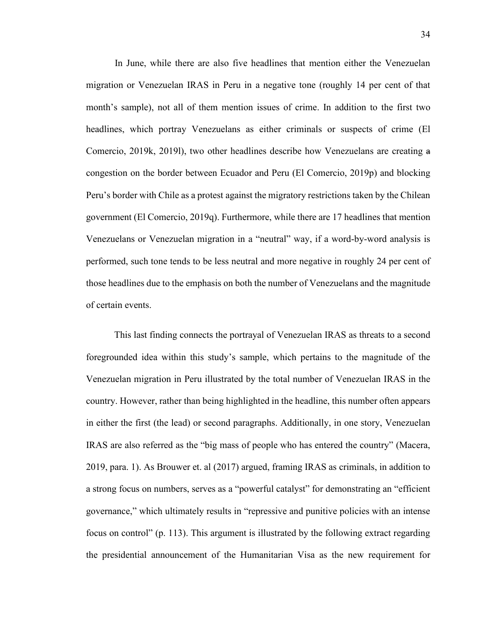In June, while there are also five headlines that mention either the Venezuelan migration or Venezuelan IRAS in Peru in a negative tone (roughly 14 per cent of that month's sample), not all of them mention issues of crime. In addition to the first two headlines, which portray Venezuelans as either criminals or suspects of crime (El Comercio, 2019k, 2019l), two other headlines describe how Venezuelans are creating a congestion on the border between Ecuador and Peru (El Comercio, 2019p) and blocking Peru's border with Chile as a protest against the migratory restrictions taken by the Chilean government (El Comercio, 2019q). Furthermore, while there are 17 headlines that mention Venezuelans or Venezuelan migration in a "neutral" way, if a word-by-word analysis is performed, such tone tends to be less neutral and more negative in roughly 24 per cent of those headlines due to the emphasis on both the number of Venezuelans and the magnitude of certain events.

This last finding connects the portrayal of Venezuelan IRAS as threats to a second foregrounded idea within this study's sample, which pertains to the magnitude of the Venezuelan migration in Peru illustrated by the total number of Venezuelan IRAS in the country. However, rather than being highlighted in the headline, this number often appears in either the first (the lead) or second paragraphs. Additionally, in one story, Venezuelan IRAS are also referred as the "big mass of people who has entered the country" (Macera, 2019, para. 1). As Brouwer et. al (2017) argued, framing IRAS as criminals, in addition to a strong focus on numbers, serves as a "powerful catalyst" for demonstrating an "efficient governance," which ultimately results in "repressive and punitive policies with an intense focus on control" (p. 113). This argument is illustrated by the following extract regarding the presidential announcement of the Humanitarian Visa as the new requirement for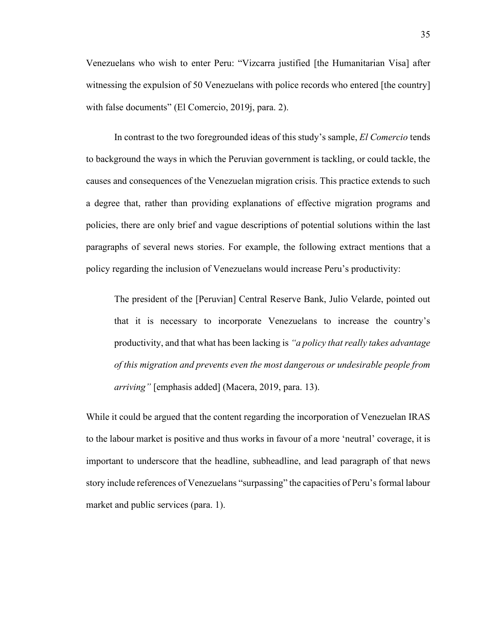Venezuelans who wish to enter Peru: "Vizcarra justified [the Humanitarian Visa] after witnessing the expulsion of 50 Venezuelans with police records who entered [the country] with false documents" (El Comercio, 2019j, para. 2).

In contrast to the two foregrounded ideas of this study's sample, *El Comercio* tends to background the ways in which the Peruvian government is tackling, or could tackle, the causes and consequences of the Venezuelan migration crisis. This practice extends to such a degree that, rather than providing explanations of effective migration programs and policies, there are only brief and vague descriptions of potential solutions within the last paragraphs of several news stories. For example, the following extract mentions that a policy regarding the inclusion of Venezuelans would increase Peru's productivity:

The president of the [Peruvian] Central Reserve Bank, Julio Velarde, pointed out that it is necessary to incorporate Venezuelans to increase the country's productivity, and that what has been lacking is *"a policy that really takes advantage of this migration and prevents even the most dangerous or undesirable people from arriving"* [emphasis added] (Macera, 2019, para. 13).

While it could be argued that the content regarding the incorporation of Venezuelan IRAS to the labour market is positive and thus works in favour of a more 'neutral' coverage, it is important to underscore that the headline, subheadline, and lead paragraph of that news story include references of Venezuelans "surpassing" the capacities of Peru's formal labour market and public services (para. 1).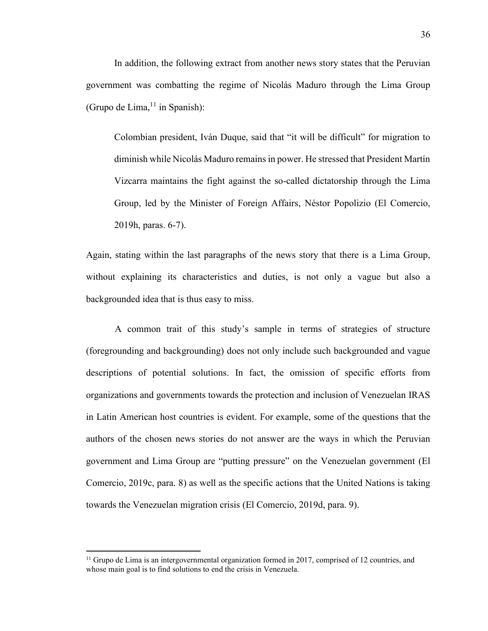In addition, the following extract from another news story states that the Peruvian government was combatting the regime of Nicolás Maduro through the Lima Group (Grupo de Lima,  $11$  in Spanish):

Colombian president, Iván Duque, said that "it will be difficult" for migration to diminish while Nicolás Maduro remains in power. He stressed that President Martín Vizcarra maintains the fight against the so-called dictatorship through the Lima Group, led by the Minister of Foreign Affairs, Néstor Popolizio (El Comercio, 2019h, paras. 6-7).

Again, stating within the last paragraphs of the news story that there is a Lima Group, without explaining its characteristics and duties, is not only a vague but also a backgrounded idea that is thus easy to miss.

A common trait of this study's sample in terms of strategies of structure (foregrounding and backgrounding) does not only include such backgrounded and vague descriptions of potential solutions. In fact, the omission of specific efforts from organizations and governments towards the protection and inclusion of Venezuelan IRAS in Latin American host countries is evident. For example, some of the questions that the authors of the chosen news stories do not answer are the ways in which the Peruvian government and Lima Group are "putting pressure" on the Venezuelan government (El Comercio, 2019c, para. 8) as well as the specific actions that the United Nations is taking towards the Venezuelan migration crisis (El Comercio, 2019d, para. 9).

 $11$  Grupo de Lima is an intergovernmental organization formed in 2017, comprised of 12 countries, and whose main goal is to find solutions to end the crisis in Venezuela.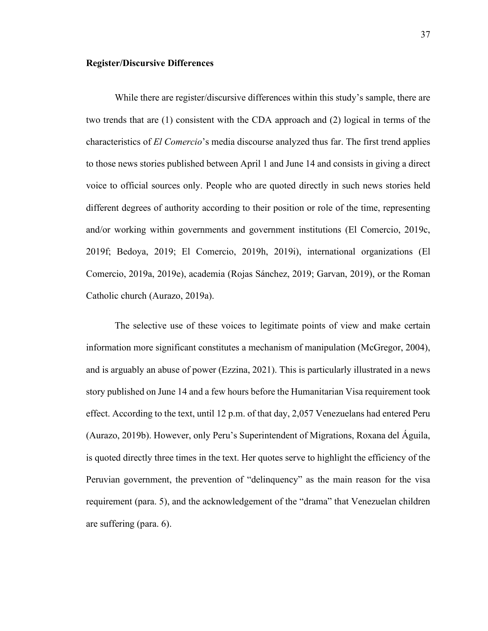#### <span id="page-45-0"></span>**Register/Discursive Differences**

While there are register/discursive differences within this study's sample, there are two trends that are (1) consistent with the CDA approach and (2) logical in terms of the characteristics of *El Comercio*'s media discourse analyzed thus far. The first trend applies to those news stories published between April 1 and June 14 and consists in giving a direct voice to official sources only. People who are quoted directly in such news stories held different degrees of authority according to their position or role of the time, representing and/or working within governments and government institutions (El Comercio, 2019c, 2019f; Bedoya, 2019; El Comercio, 2019h, 2019i), international organizations (El Comercio, 2019a, 2019e), academia (Rojas Sánchez, 2019; Garvan, 2019), or the Roman Catholic church (Aurazo, 2019a).

The selective use of these voices to legitimate points of view and make certain information more significant constitutes a mechanism of manipulation (McGregor, 2004), and is arguably an abuse of power (Ezzina, 2021). This is particularly illustrated in a news story published on June 14 and a few hours before the Humanitarian Visa requirement took effect. According to the text, until 12 p.m. of that day, 2,057 Venezuelans had entered Peru (Aurazo, 2019b). However, only Peru's Superintendent of Migrations, Roxana del Águila, is quoted directly three times in the text. Her quotes serve to highlight the efficiency of the Peruvian government, the prevention of "delinquency" as the main reason for the visa requirement (para. 5), and the acknowledgement of the "drama" that Venezuelan children are suffering (para. 6).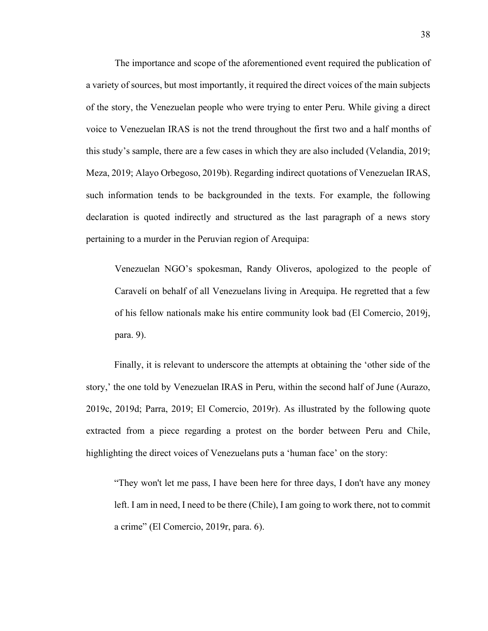The importance and scope of the aforementioned event required the publication of a variety of sources, but most importantly, it required the direct voices of the main subjects of the story, the Venezuelan people who were trying to enter Peru. While giving a direct voice to Venezuelan IRAS is not the trend throughout the first two and a half months of this study's sample, there are a few cases in which they are also included (Velandia, 2019; Meza, 2019; Alayo Orbegoso, 2019b). Regarding indirect quotations of Venezuelan IRAS, such information tends to be backgrounded in the texts. For example, the following declaration is quoted indirectly and structured as the last paragraph of a news story pertaining to a murder in the Peruvian region of Arequipa:

Venezuelan NGO's spokesman, Randy Oliveros, apologized to the people of Caravelí on behalf of all Venezuelans living in Arequipa. He regretted that a few of his fellow nationals make his entire community look bad (El Comercio, 2019j, para. 9).

Finally, it is relevant to underscore the attempts at obtaining the 'other side of the story,' the one told by Venezuelan IRAS in Peru, within the second half of June (Aurazo, 2019c, 2019d; Parra, 2019; El Comercio, 2019r). As illustrated by the following quote extracted from a piece regarding a protest on the border between Peru and Chile, highlighting the direct voices of Venezuelans puts a 'human face' on the story:

"They won't let me pass, I have been here for three days, I don't have any money left. I am in need, I need to be there (Chile), I am going to work there, not to commit a crime" (El Comercio, 2019r, para. 6).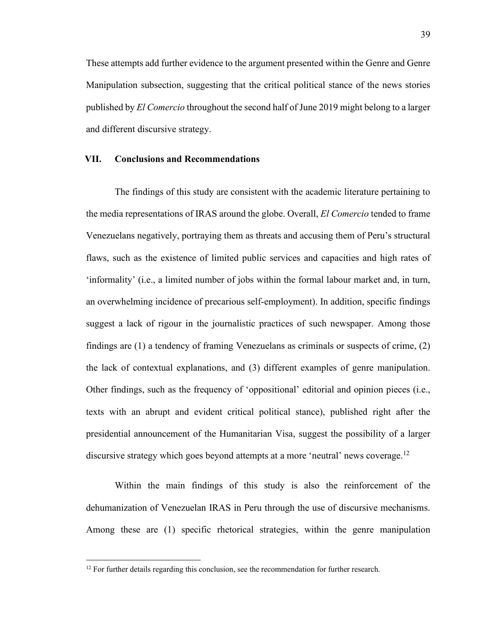These attempts add further evidence to the argument presented within the Genre and Genre Manipulation subsection, suggesting that the critical political stance of the news stories published by *El Comercio* throughout the second half of June 2019 might belong to a larger and different discursive strategy.

#### <span id="page-47-0"></span>**VII. Conclusions and Recommendations**

The findings of this study are consistent with the academic literature pertaining to the media representations of IRAS around the globe. Overall, *El Comercio* tended to frame Venezuelans negatively, portraying them as threats and accusing them of Peru's structural flaws, such as the existence of limited public services and capacities and high rates of 'informality' (i.e., a limited number of jobs within the formal labour market and, in turn, an overwhelming incidence of precarious self-employment). In addition, specific findings suggest a lack of rigour in the journalistic practices of such newspaper. Among those findings are (1) a tendency of framing Venezuelans as criminals or suspects of crime, (2) the lack of contextual explanations, and (3) different examples of genre manipulation. Other findings, such as the frequency of 'oppositional' editorial and opinion pieces (i.e., texts with an abrupt and evident critical political stance), published right after the presidential announcement of the Humanitarian Visa, suggest the possibility of a larger discursive strategy which goes beyond attempts at a more 'neutral' news coverage.<sup>12</sup>

Within the main findings of this study is also the reinforcement of the dehumanization of Venezuelan IRAS in Peru through the use of discursive mechanisms. Among these are (1) specific rhetorical strategies, within the genre manipulation

 $12$  For further details regarding this conclusion, see the recommendation for further research.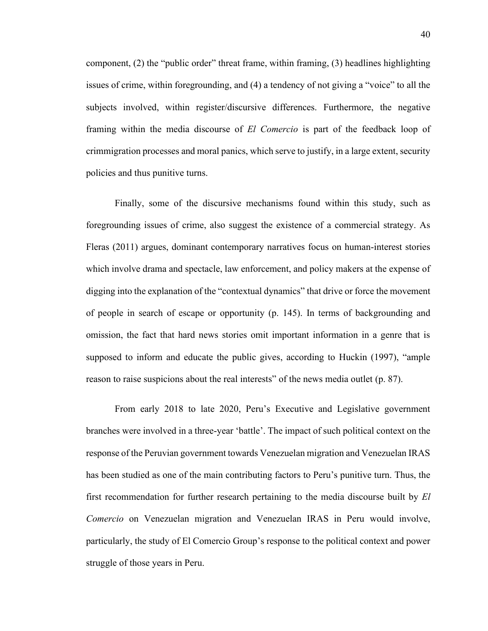component, (2) the "public order" threat frame, within framing, (3) headlines highlighting issues of crime, within foregrounding, and (4) a tendency of not giving a "voice" to all the subjects involved, within register/discursive differences. Furthermore, the negative framing within the media discourse of *El Comercio* is part of the feedback loop of crimmigration processes and moral panics, which serve to justify, in a large extent, security policies and thus punitive turns.

Finally, some of the discursive mechanisms found within this study, such as foregrounding issues of crime, also suggest the existence of a commercial strategy. As Fleras (2011) argues, dominant contemporary narratives focus on human-interest stories which involve drama and spectacle, law enforcement, and policy makers at the expense of digging into the explanation of the "contextual dynamics" that drive or force the movement of people in search of escape or opportunity (p. 145). In terms of backgrounding and omission, the fact that hard news stories omit important information in a genre that is supposed to inform and educate the public gives, according to Huckin (1997), "ample reason to raise suspicions about the real interests" of the news media outlet (p. 87).

From early 2018 to late 2020, Peru's Executive and Legislative government branches were involved in a three-year 'battle'. The impact of such political context on the response of the Peruvian government towards Venezuelan migration and Venezuelan IRAS has been studied as one of the main contributing factors to Peru's punitive turn. Thus, the first recommendation for further research pertaining to the media discourse built by *El Comercio* on Venezuelan migration and Venezuelan IRAS in Peru would involve, particularly, the study of El Comercio Group's response to the political context and power struggle of those years in Peru.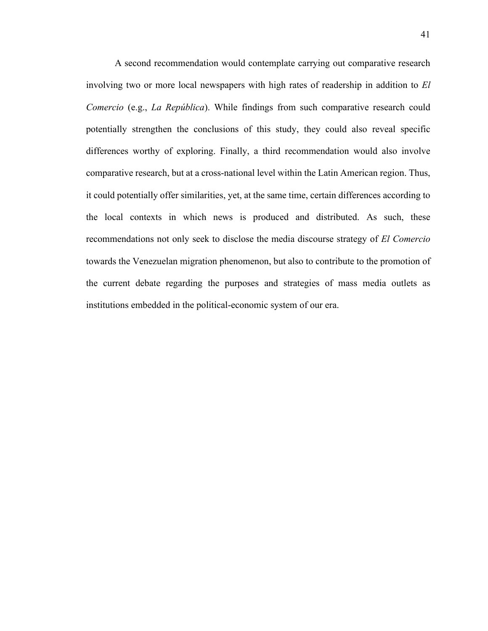<span id="page-49-0"></span>A second recommendation would contemplate carrying out comparative research involving two or more local newspapers with high rates of readership in addition to *El Comercio* (e.g., *La República*). While findings from such comparative research could potentially strengthen the conclusions of this study, they could also reveal specific differences worthy of exploring. Finally, a third recommendation would also involve comparative research, but at a cross-national level within the Latin American region. Thus, it could potentially offer similarities, yet, at the same time, certain differences according to the local contexts in which news is produced and distributed. As such, these recommendations not only seek to disclose the media discourse strategy of *El Comercio* towards the Venezuelan migration phenomenon, but also to contribute to the promotion of the current debate regarding the purposes and strategies of mass media outlets as institutions embedded in the political-economic system of our era.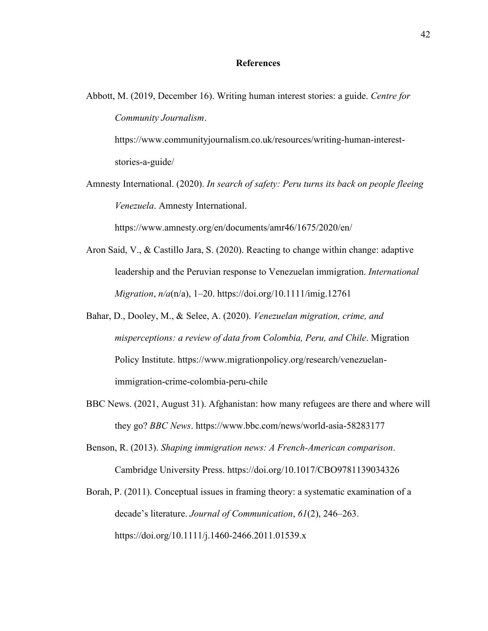#### **References**

Abbott, M. (2019, December 16). Writing human interest stories: a guide. *Centre for Community Journalism*.

https://www.communityjournalism.co.uk/resources/writing-human-intereststories-a-guide/

Amnesty International. (2020). *In search of safety: Peru turns its back on people fleeing Venezuela*. Amnesty International.

https://www.amnesty.org/en/documents/amr46/1675/2020/en/

- Aron Said, V., & Castillo Jara, S. (2020). Reacting to change within change: adaptive leadership and the Peruvian response to Venezuelan immigration. *International Migration*, *n/a*(n/a), 1–20. https://doi.org/10.1111/imig.12761
- Bahar, D., Dooley, M., & Selee, A. (2020). *Venezuelan migration, crime, and misperceptions: a review of data from Colombia, Peru, and Chile*. Migration Policy Institute. https://www.migrationpolicy.org/research/venezuelanimmigration-crime-colombia-peru-chile
- BBC News. (2021, August 31). Afghanistan: how many refugees are there and where will they go? *BBC News*. https://www.bbc.com/news/world-asia-58283177
- Benson, R. (2013). *Shaping immigration news: A French-American comparison*. Cambridge University Press. https://doi.org/10.1017/CBO9781139034326

Borah, P. (2011). Conceptual issues in framing theory: a systematic examination of a decade's literature. *Journal of Communication*, *61*(2), 246–263. https://doi.org/10.1111/j.1460-2466.2011.01539.x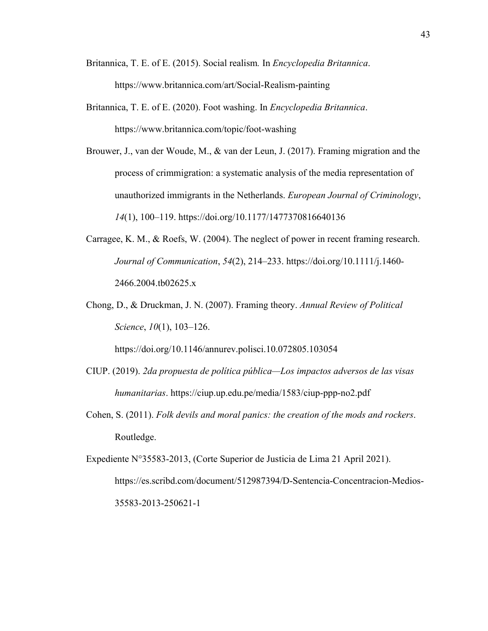- Britannica, T. E. of E. (2015). Social realism*.* In *Encyclopedia Britannica*. https://www.britannica.com/art/Social-Realism-painting
- Britannica, T. E. of E. (2020). Foot washing. In *Encyclopedia Britannica*. https://www.britannica.com/topic/foot-washing
- Brouwer, J., van der Woude, M., & van der Leun, J. (2017). Framing migration and the process of crimmigration: a systematic analysis of the media representation of unauthorized immigrants in the Netherlands. *European Journal of Criminology*, *14*(1), 100–119. https://doi.org/10.1177/1477370816640136
- Carragee, K. M., & Roefs, W. (2004). The neglect of power in recent framing research. *Journal of Communication*, *54*(2), 214–233. https://doi.org/10.1111/j.1460- 2466.2004.tb02625.x
- Chong, D., & Druckman, J. N. (2007). Framing theory. *Annual Review of Political Science*, *10*(1), 103–126.

https://doi.org/10.1146/annurev.polisci.10.072805.103054

- CIUP. (2019). *2da propuesta de política pública—Los impactos adversos de las visas humanitarias*. https://ciup.up.edu.pe/media/1583/ciup-ppp-no2.pdf
- Cohen, S. (2011). *Folk devils and moral panics: the creation of the mods and rockers*. Routledge.

Expediente N°35583-2013, (Corte Superior de Justicia de Lima 21 April 2021). https://es.scribd.com/document/512987394/D-Sentencia-Concentracion-Medios-35583-2013-250621-1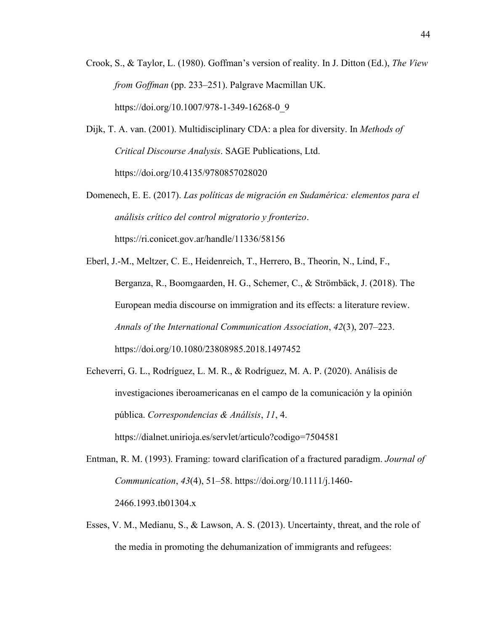- Crook, S., & Taylor, L. (1980). Goffman's version of reality. In J. Ditton (Ed.), *The View from Goffman* (pp. 233–251). Palgrave Macmillan UK. https://doi.org/10.1007/978-1-349-16268-0\_9
- Dijk, T. A. van. (2001). Multidisciplinary CDA: a plea for diversity. In *Methods of Critical Discourse Analysis*. SAGE Publications, Ltd. https://doi.org/10.4135/9780857028020
- Domenech, E. E. (2017). *Las políticas de migración en Sudamérica: elementos para el análisis crítico del control migratorio y fronterizo*. https://ri.conicet.gov.ar/handle/11336/58156
- Eberl, J.-M., Meltzer, C. E., Heidenreich, T., Herrero, B., Theorin, N., Lind, F., Berganza, R., Boomgaarden, H. G., Schemer, C., & Strömbäck, J. (2018). The European media discourse on immigration and its effects: a literature review. *Annals of the International Communication Association*, *42*(3), 207–223. https://doi.org/10.1080/23808985.2018.1497452
- Echeverri, G. L., Rodríguez, L. M. R., & Rodríguez, M. A. P. (2020). Análisis de investigaciones iberoamericanas en el campo de la comunicación y la opinión pública. *Correspondencias & Análisis*, *11*, 4. https://dialnet.unirioja.es/servlet/articulo?codigo=7504581
- Entman, R. M. (1993). Framing: toward clarification of a fractured paradigm. *Journal of Communication*, *43*(4), 51–58. https://doi.org/10.1111/j.1460- 2466.1993.tb01304.x
- Esses, V. M., Medianu, S., & Lawson, A. S. (2013). Uncertainty, threat, and the role of the media in promoting the dehumanization of immigrants and refugees: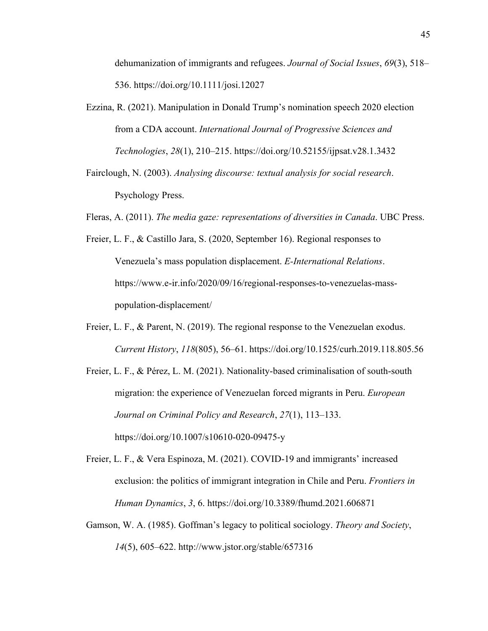dehumanization of immigrants and refugees. *Journal of Social Issues*, *69*(3), 518– 536. https://doi.org/10.1111/josi.12027

- Ezzina, R. (2021). Manipulation in Donald Trump's nomination speech 2020 election from a CDA account. *International Journal of Progressive Sciences and Technologies*, *28*(1), 210–215. https://doi.org/10.52155/ijpsat.v28.1.3432
- Fairclough, N. (2003). *Analysing discourse: textual analysis for social research*. Psychology Press.
- Fleras, A. (2011). *The media gaze: representations of diversities in Canada*. UBC Press.
- Freier, L. F., & Castillo Jara, S. (2020, September 16). Regional responses to Venezuela's mass population displacement. *E-International Relations*. https://www.e-ir.info/2020/09/16/regional-responses-to-venezuelas-masspopulation-displacement/
- Freier, L. F., & Parent, N. (2019). The regional response to the Venezuelan exodus. *Current History*, *118*(805), 56–61. https://doi.org/10.1525/curh.2019.118.805.56
- Freier, L. F., & Pérez, L. M. (2021). Nationality-based criminalisation of south-south migration: the experience of Venezuelan forced migrants in Peru. *European Journal on Criminal Policy and Research*, *27*(1), 113–133. https://doi.org/10.1007/s10610-020-09475-y
- Freier, L. F., & Vera Espinoza, M. (2021). COVID-19 and immigrants' increased exclusion: the politics of immigrant integration in Chile and Peru. *Frontiers in Human Dynamics*, *3*, 6. https://doi.org/10.3389/fhumd.2021.606871
- Gamson, W. A. (1985). Goffman's legacy to political sociology. *Theory and Society*, *14*(5), 605–622. http://www.jstor.org/stable/657316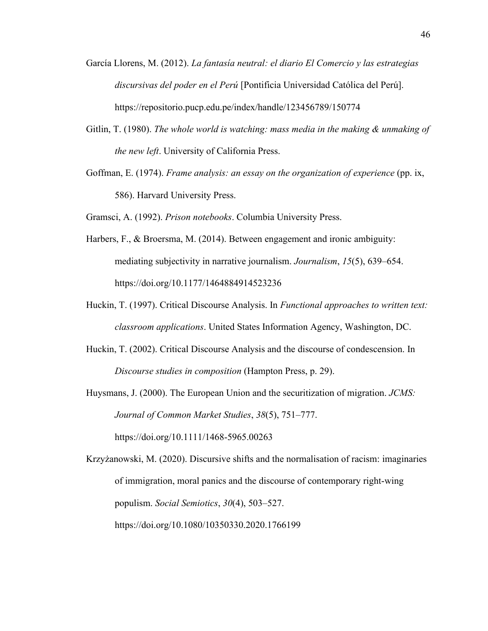- García Llorens, M. (2012). *La fantasía neutral: el diario El Comercio y las estrategias discursivas del poder en el Perú* [Pontificia Universidad Católica del Perú]. https://repositorio.pucp.edu.pe/index/handle/123456789/150774
- Gitlin, T. (1980). *The whole world is watching: mass media in the making & unmaking of the new left*. University of California Press.
- Goffman, E. (1974). *Frame analysis: an essay on the organization of experience* (pp. ix, 586). Harvard University Press.
- Gramsci, A. (1992). *Prison notebooks*. Columbia University Press.
- Harbers, F., & Broersma, M. (2014). Between engagement and ironic ambiguity: mediating subjectivity in narrative journalism. *Journalism*, *15*(5), 639–654. https://doi.org/10.1177/1464884914523236
- Huckin, T. (1997). Critical Discourse Analysis. In *Functional approaches to written text: classroom applications*. United States Information Agency, Washington, DC.
- Huckin, T. (2002). Critical Discourse Analysis and the discourse of condescension. In *Discourse studies in composition* (Hampton Press, p. 29).
- Huysmans, J. (2000). The European Union and the securitization of migration. *JCMS: Journal of Common Market Studies*, *38*(5), 751–777. https://doi.org/10.1111/1468-5965.00263

Krzyżanowski, M. (2020). Discursive shifts and the normalisation of racism: imaginaries of immigration, moral panics and the discourse of contemporary right-wing populism. *Social Semiotics*, *30*(4), 503–527. https://doi.org/10.1080/10350330.2020.1766199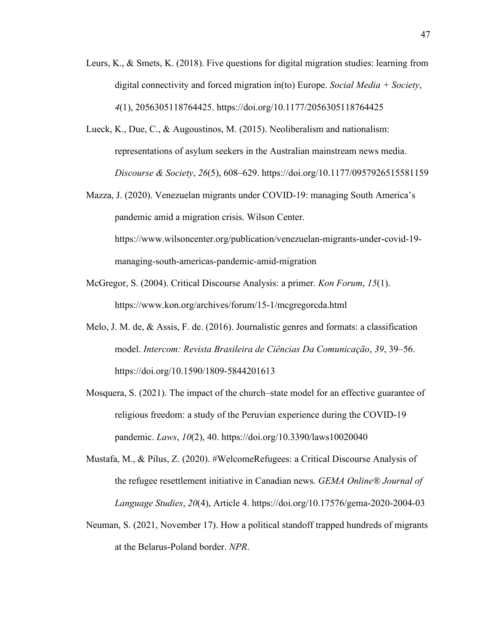- Leurs, K., & Smets, K. (2018). Five questions for digital migration studies: learning from digital connectivity and forced migration in(to) Europe. *Social Media + Society*, *4*(1), 2056305118764425. https://doi.org/10.1177/2056305118764425
- Lueck, K., Due, C., & Augoustinos, M. (2015). Neoliberalism and nationalism: representations of asylum seekers in the Australian mainstream news media. *Discourse & Society*, *26*(5), 608–629. https://doi.org/10.1177/0957926515581159
- Mazza, J. (2020). Venezuelan migrants under COVID-19: managing South America's pandemic amid a migration crisis. Wilson Center. [https://www.wilsoncenter.org/publication/venezuelan-migrants-under-covid-19](https://www.wilsoncenter.org/publication/venezuelan-migrants-under-covid-19-managing-south-americas-pandemic-amid-migration) [managing-south-americas-pandemic-amid-migration](https://www.wilsoncenter.org/publication/venezuelan-migrants-under-covid-19-managing-south-americas-pandemic-amid-migration)
- McGregor, S. (2004). Critical Discourse Analysis: a primer. *Kon Forum*, *15*(1). https://www.kon.org/archives/forum/15-1/mcgregorcda.html
- Melo, J. M. de, & Assis, F. de. (2016). Journalistic genres and formats: a classification model. *Intercom: Revista Brasileira de Ciências Da Comunicação*, *39*, 39–56. https://doi.org/10.1590/1809-5844201613
- Mosquera, S. (2021). The impact of the church–state model for an effective guarantee of religious freedom: a study of the Peruvian experience during the COVID-19 pandemic. *Laws*, *10*(2), 40. https://doi.org/10.3390/laws10020040
- Mustafa, M., & Pilus, Z. (2020). #WelcomeRefugees: a Critical Discourse Analysis of the refugee resettlement initiative in Canadian news. *GEMA Online® Journal of Language Studies*, *20*(4), Article 4. https://doi.org/10.17576/gema-2020-2004-03
- Neuman, S. (2021, November 17). How a political standoff trapped hundreds of migrants at the Belarus-Poland border. *NPR*.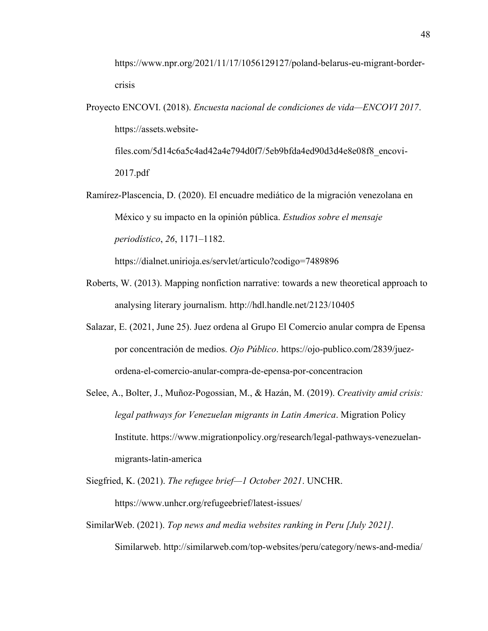https://www.npr.org/2021/11/17/1056129127/poland-belarus-eu-migrant-bordercrisis

Proyecto ENCOVI. (2018). *Encuesta nacional de condiciones de vida—ENCOVI 2017*. https://assets.websitefiles.com/5d14c6a5c4ad42a4e794d0f7/5eb9bfda4ed90d3d4e8e08f8\_encovi-

2017.pdf

Ramírez-Plascencia, D. (2020). El encuadre mediático de la migración venezolana en México y su impacto en la opinión pública. *Estudios sobre el mensaje periodístico*, *26*, 1171–1182.

https://dialnet.unirioja.es/servlet/articulo?codigo=7489896

- Roberts, W. (2013). Mapping nonfiction narrative: towards a new theoretical approach to analysing literary journalism. http://hdl.handle.net/2123/10405
- Salazar, E. (2021, June 25). Juez ordena al Grupo El Comercio anular compra de Epensa por concentración de medios. *Ojo Público*. https://ojo-publico.com/2839/juezordena-el-comercio-anular-compra-de-epensa-por-concentracion
- Selee, A., Bolter, J., Muñoz-Pogossian, M., & Hazán, M. (2019). *Creativity amid crisis: legal pathways for Venezuelan migrants in Latin America*. Migration Policy Institute. https://www.migrationpolicy.org/research/legal-pathways-venezuelanmigrants-latin-america
- Siegfried, K. (2021). *The refugee brief—1 October 2021*. UNCHR.

https://www.unhcr.org/refugeebrief/latest-issues/

SimilarWeb. (2021). *Top news and media websites ranking in Peru [July 2021]*. Similarweb. http://similarweb.com/top-websites/peru/category/news-and-media/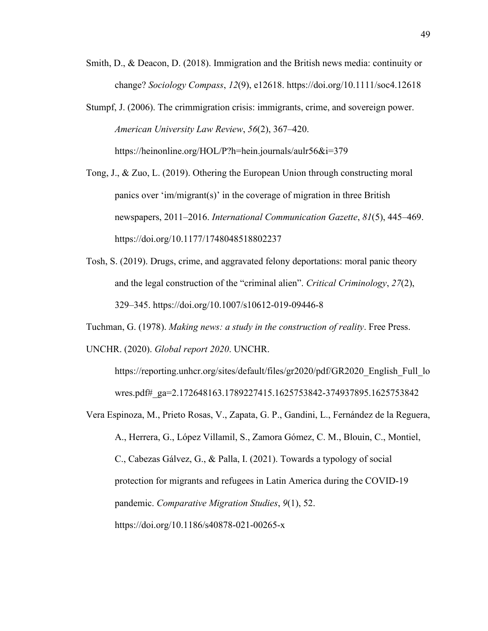- Smith, D., & Deacon, D. (2018). Immigration and the British news media: continuity or change? *Sociology Compass*, *12*(9), e12618. https://doi.org/10.1111/soc4.12618
- Stumpf, J. (2006). The crimmigration crisis: immigrants, crime, and sovereign power. *American University Law Review*, *56*(2), 367–420. https://heinonline.org/HOL/P?h=hein.journals/aulr56&i=379
- Tong, J., & Zuo, L. (2019). Othering the European Union through constructing moral panics over 'im/migrant(s)' in the coverage of migration in three British newspapers, 2011–2016. *International Communication Gazette*, *81*(5), 445–469. https://doi.org/10.1177/1748048518802237
- Tosh, S. (2019). Drugs, crime, and aggravated felony deportations: moral panic theory and the legal construction of the "criminal alien". *Critical Criminology*, *27*(2), 329–345. https://doi.org/10.1007/s10612-019-09446-8

Tuchman, G. (1978). *Making news: a study in the construction of reality*. Free Press. UNCHR. (2020). *Global report 2020*. UNCHR.

https://reporting.unhcr.org/sites/default/files/gr2020/pdf/GR2020\_English\_Full\_lo wres.pdf#\_ga=2.172648163.1789227415.1625753842-374937895.1625753842

Vera Espinoza, M., Prieto Rosas, V., Zapata, G. P., Gandini, L., Fernández de la Reguera, A., Herrera, G., López Villamil, S., Zamora Gómez, C. M., Blouin, C., Montiel, C., Cabezas Gálvez, G., & Palla, I. (2021). Towards a typology of social protection for migrants and refugees in Latin America during the COVID-19 pandemic. *Comparative Migration Studies*, *9*(1), 52. https://doi.org/10.1186/s40878-021-00265-x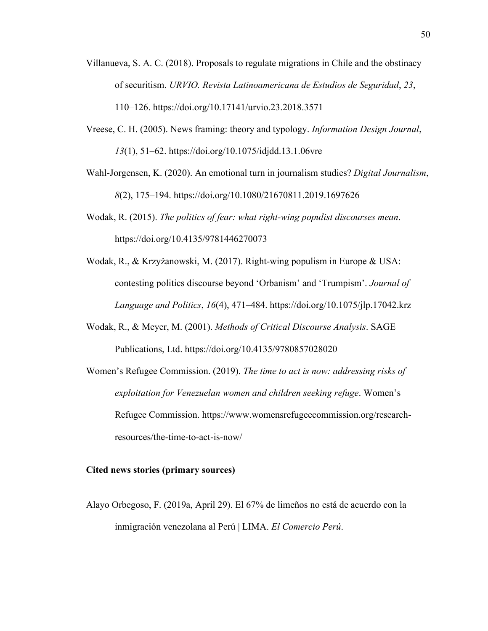- Villanueva, S. A. C. (2018). Proposals to regulate migrations in Chile and the obstinacy of securitism. *URVIO. Revista Latinoamericana de Estudios de Seguridad*, *23*, 110–126. https://doi.org/10.17141/urvio.23.2018.3571
- Vreese, C. H. (2005). News framing: theory and typology. *Information Design Journal*, *13*(1), 51–62. https://doi.org/10.1075/idjdd.13.1.06vre
- Wahl-Jorgensen, K. (2020). An emotional turn in journalism studies? *Digital Journalism*, *8*(2), 175–194. https://doi.org/10.1080/21670811.2019.1697626
- Wodak, R. (2015). *The politics of fear: what right-wing populist discourses mean*. https://doi.org/10.4135/9781446270073
- Wodak, R., & Krzyżanowski, M. (2017). Right-wing populism in Europe & USA: contesting politics discourse beyond 'Orbanism' and 'Trumpism'. *Journal of Language and Politics*, *16*(4), 471–484. https://doi.org/10.1075/jlp.17042.krz
- Wodak, R., & Meyer, M. (2001). *Methods of Critical Discourse Analysis*. SAGE Publications, Ltd. https://doi.org/10.4135/9780857028020
- Women's Refugee Commission. (2019). *The time to act is now: addressing risks of exploitation for Venezuelan women and children seeking refuge*. Women's Refugee Commission. https://www.womensrefugeecommission.org/researchresources/the-time-to-act-is-now/

#### **Cited news stories (primary sources)**

Alayo Orbegoso, F. (2019a, April 29). El 67% de limeños no está de acuerdo con la inmigración venezolana al Perú | LIMA. *El Comercio Perú*.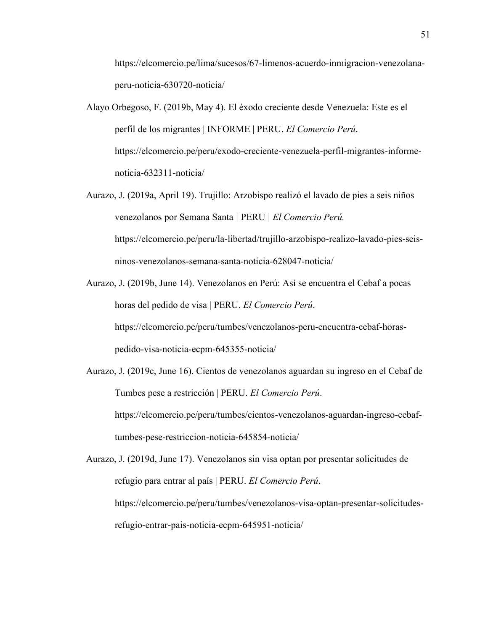https://elcomercio.pe/lima/sucesos/67-limenos-acuerdo-inmigracion-venezolanaperu-noticia-630720-noticia/

- Alayo Orbegoso, F. (2019b, May 4). El éxodo creciente desde Venezuela: Este es el perfil de los migrantes | INFORME | PERU. *El Comercio Perú*. https://elcomercio.pe/peru/exodo-creciente-venezuela-perfil-migrantes-informenoticia-632311-noticia/
- Aurazo, J. (2019a, April 19). Trujillo: Arzobispo realizó el lavado de pies a seis niños venezolanos por Semana Santa *|* PERU *| El Comercio Perú.* https://elcomercio.pe/peru/la-libertad/trujillo-arzobispo-realizo-lavado-pies-seisninos-venezolanos-semana-santa-noticia-628047-noticia/
- Aurazo, J. (2019b, June 14). Venezolanos en Perú: Así se encuentra el Cebaf a pocas horas del pedido de visa | PERU. *El Comercio Perú*. https://elcomercio.pe/peru/tumbes/venezolanos-peru-encuentra-cebaf-horaspedido-visa-noticia-ecpm-645355-noticia/
- Aurazo, J. (2019c, June 16). Cientos de venezolanos aguardan su ingreso en el Cebaf de Tumbes pese a restricción | PERU. *El Comercio Perú*. https://elcomercio.pe/peru/tumbes/cientos-venezolanos-aguardan-ingreso-cebaftumbes-pese-restriccion-noticia-645854-noticia/

Aurazo, J. (2019d, June 17). Venezolanos sin visa optan por presentar solicitudes de refugio para entrar al país | PERU. *El Comercio Perú*. https://elcomercio.pe/peru/tumbes/venezolanos-visa-optan-presentar-solicitudesrefugio-entrar-pais-noticia-ecpm-645951-noticia/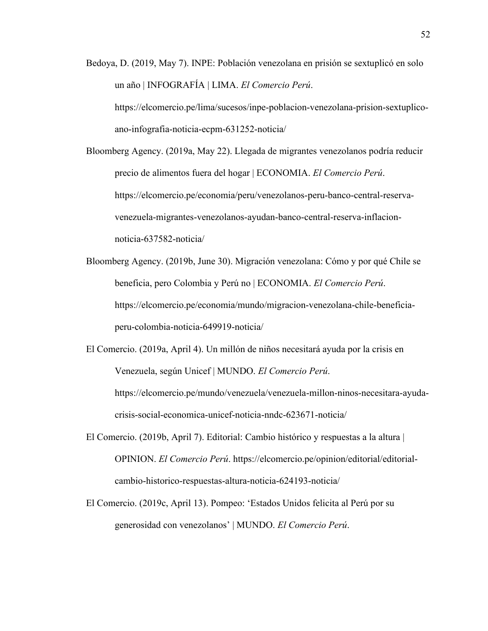Bedoya, D. (2019, May 7). INPE: Población venezolana en prisión se sextuplicó en solo un año | INFOGRAFÍA | LIMA. *El Comercio Perú*. https://elcomercio.pe/lima/sucesos/inpe-poblacion-venezolana-prision-sextuplicoano-infografia-noticia-ecpm-631252-noticia/

Bloomberg Agency. (2019a, May 22). Llegada de migrantes venezolanos podría reducir precio de alimentos fuera del hogar | ECONOMIA. *El Comercio Perú*. https://elcomercio.pe/economia/peru/venezolanos-peru-banco-central-reservavenezuela-migrantes-venezolanos-ayudan-banco-central-reserva-inflacionnoticia-637582-noticia/

Bloomberg Agency. (2019b, June 30). Migración venezolana: Cómo y por qué Chile se beneficia, pero Colombia y Perú no | ECONOMIA. *El Comercio Perú*. https://elcomercio.pe/economia/mundo/migracion-venezolana-chile-beneficiaperu-colombia-noticia-649919-noticia/

El Comercio. (2019a, April 4). Un millón de niños necesitará ayuda por la crisis en Venezuela, según Unicef | MUNDO. *El Comercio Perú*. https://elcomercio.pe/mundo/venezuela/venezuela-millon-ninos-necesitara-ayudacrisis-social-economica-unicef-noticia-nndc-623671-noticia/

- El Comercio. (2019b, April 7). Editorial: Cambio histórico y respuestas a la altura | OPINION. *El Comercio Perú*. https://elcomercio.pe/opinion/editorial/editorialcambio-historico-respuestas-altura-noticia-624193-noticia/
- El Comercio. (2019c, April 13). Pompeo: 'Estados Unidos felicita al Perú por su generosidad con venezolanos' | MUNDO. *El Comercio Perú*.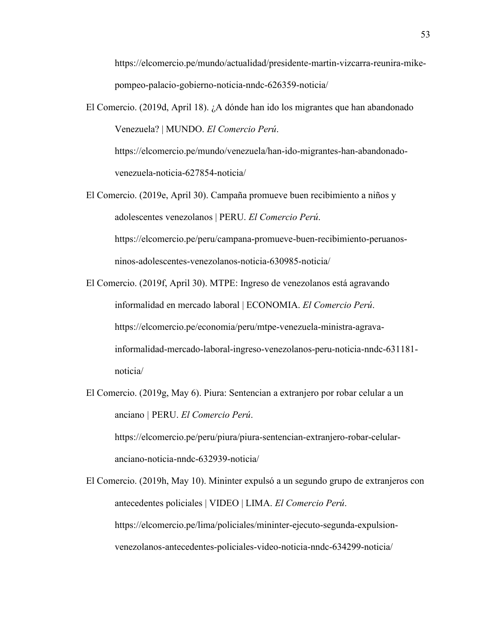https://elcomercio.pe/mundo/actualidad/presidente-martin-vizcarra-reunira-mikepompeo-palacio-gobierno-noticia-nndc-626359-noticia/

El Comercio. (2019d, April 18). ¿A dónde han ido los migrantes que han abandonado Venezuela? | MUNDO. *El Comercio Perú*.

https://elcomercio.pe/mundo/venezuela/han-ido-migrantes-han-abandonadovenezuela-noticia-627854-noticia/

- El Comercio. (2019e, April 30). Campaña promueve buen recibimiento a niños y adolescentes venezolanos | PERU. *El Comercio Perú*. https://elcomercio.pe/peru/campana-promueve-buen-recibimiento-peruanosninos-adolescentes-venezolanos-noticia-630985-noticia/
- El Comercio. (2019f, April 30). MTPE: Ingreso de venezolanos está agravando informalidad en mercado laboral | ECONOMIA. *El Comercio Perú*. https://elcomercio.pe/economia/peru/mtpe-venezuela-ministra-agravainformalidad-mercado-laboral-ingreso-venezolanos-peru-noticia-nndc-631181 noticia/
- El Comercio. (2019g, May 6). Piura: Sentencian a extranjero por robar celular a un anciano *|* PERU. *El Comercio Perú*. https://elcomercio.pe/peru/piura/piura-sentencian-extranjero-robar-celularanciano-noticia-nndc-632939-noticia/

El Comercio. (2019h, May 10). Mininter expulsó a un segundo grupo de extranjeros con antecedentes policiales | VIDEO | LIMA. *El Comercio Perú*. https://elcomercio.pe/lima/policiales/mininter-ejecuto-segunda-expulsionvenezolanos-antecedentes-policiales-video-noticia-nndc-634299-noticia/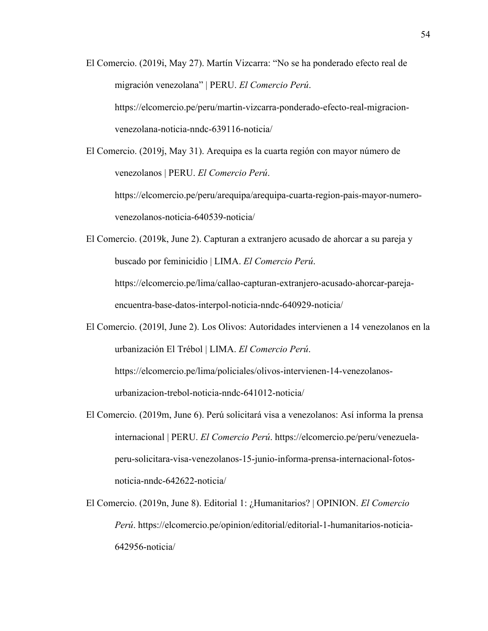- El Comercio. (2019i, May 27). Martín Vizcarra: "No se ha ponderado efecto real de migración venezolana" | PERU. *El Comercio Perú*. https://elcomercio.pe/peru/martin-vizcarra-ponderado-efecto-real-migracionvenezolana-noticia-nndc-639116-noticia/
- El Comercio. (2019j, May 31). Arequipa es la cuarta región con mayor número de venezolanos | PERU. *El Comercio Perú*.

https://elcomercio.pe/peru/arequipa/arequipa-cuarta-region-pais-mayor-numerovenezolanos-noticia-640539-noticia/

- El Comercio. (2019k, June 2). Capturan a extranjero acusado de ahorcar a su pareja y buscado por feminicidio | LIMA. *El Comercio Perú*. https://elcomercio.pe/lima/callao-capturan-extranjero-acusado-ahorcar-parejaencuentra-base-datos-interpol-noticia-nndc-640929-noticia/
- El Comercio. (2019l, June 2). Los Olivos: Autoridades intervienen a 14 venezolanos en la urbanización El Trébol | LIMA. *El Comercio Perú*. https://elcomercio.pe/lima/policiales/olivos-intervienen-14-venezolanosurbanizacion-trebol-noticia-nndc-641012-noticia/
- El Comercio. (2019m, June 6). Perú solicitará visa a venezolanos: Así informa la prensa internacional | PERU. *El Comercio Perú*. https://elcomercio.pe/peru/venezuelaperu-solicitara-visa-venezolanos-15-junio-informa-prensa-internacional-fotosnoticia-nndc-642622-noticia/
- El Comercio. (2019n, June 8). Editorial 1: ¿Humanitarios? | OPINION. *El Comercio Perú*. https://elcomercio.pe/opinion/editorial/editorial-1-humanitarios-noticia-642956-noticia/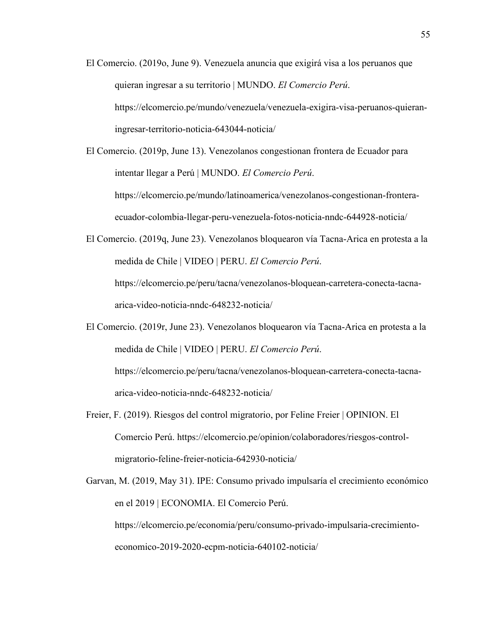- El Comercio. (2019o, June 9). Venezuela anuncia que exigirá visa a los peruanos que quieran ingresar a su territorio | MUNDO. *El Comercio Perú*. https://elcomercio.pe/mundo/venezuela/venezuela-exigira-visa-peruanos-quieraningresar-territorio-noticia-643044-noticia/
- El Comercio. (2019p, June 13). Venezolanos congestionan frontera de Ecuador para intentar llegar a Perú | MUNDO. *El Comercio Perú*. https://elcomercio.pe/mundo/latinoamerica/venezolanos-congestionan-fronteraecuador-colombia-llegar-peru-venezuela-fotos-noticia-nndc-644928-noticia/
- El Comercio. (2019q, June 23). Venezolanos bloquearon vía Tacna-Arica en protesta a la medida de Chile | VIDEO | PERU. *El Comercio Perú*. https://elcomercio.pe/peru/tacna/venezolanos-bloquean-carretera-conecta-tacnaarica-video-noticia-nndc-648232-noticia/
- El Comercio. (2019r, June 23). Venezolanos bloquearon vía Tacna-Arica en protesta a la medida de Chile | VIDEO | PERU. *El Comercio Perú*. https://elcomercio.pe/peru/tacna/venezolanos-bloquean-carretera-conecta-tacnaarica-video-noticia-nndc-648232-noticia/
- Freier, F. (2019). Riesgos del control migratorio, por Feline Freier | OPINION. El Comercio Perú. [https://elcomercio.pe/opinion/colaboradores/riesgos-control](https://elcomercio.pe/opinion/colaboradores/riesgos-control-migratorio-feline-freier-noticia-642930-noticia/)[migratorio-feline-freier-noticia-642930-noticia/](https://elcomercio.pe/opinion/colaboradores/riesgos-control-migratorio-feline-freier-noticia-642930-noticia/)
- Garvan, M. (2019, May 31). IPE: Consumo privado impulsaría el crecimiento económico en el 2019 | ECONOMIA. El Comercio Perú. [https://elcomercio.pe/economia/peru/consumo-privado-impulsaria-crecimiento](https://elcomercio.pe/economia/peru/consumo-privado-impulsaria-crecimiento-economico-2019-2020-ecpm-noticia-640102-noticia/)[economico-2019-2020-ecpm-noticia-640102-noticia/](https://elcomercio.pe/economia/peru/consumo-privado-impulsaria-crecimiento-economico-2019-2020-ecpm-noticia-640102-noticia/)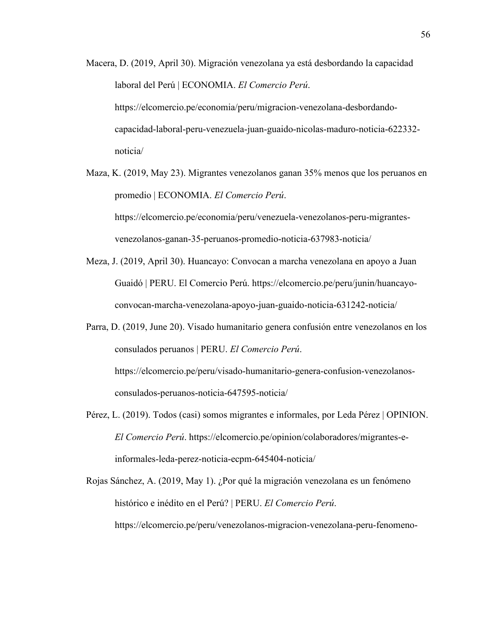- Macera, D. (2019, April 30). Migración venezolana ya está desbordando la capacidad laboral del Perú | ECONOMIA. *El Comercio Perú*. https://elcomercio.pe/economia/peru/migracion-venezolana-desbordandocapacidad-laboral-peru-venezuela-juan-guaido-nicolas-maduro-noticia-622332 noticia/
- Maza, K. (2019, May 23). Migrantes venezolanos ganan 35% menos que los peruanos en promedio | ECONOMIA. *El Comercio Perú*. https://elcomercio.pe/economia/peru/venezuela-venezolanos-peru-migrantesvenezolanos-ganan-35-peruanos-promedio-noticia-637983-noticia/
- Meza, J. (2019, April 30). Huancayo: Convocan a marcha venezolana en apoyo a Juan Guaidó | PERU. El Comercio Perú. [https://elcomercio.pe/peru/junin/huancayo](https://elcomercio.pe/peru/junin/huancayo-convocan-marcha-venezolana-apoyo-juan-guaido-noticia-631242-noticia/)[convocan-marcha-venezolana-apoyo-juan-guaido-noticia-631242-noticia/](https://elcomercio.pe/peru/junin/huancayo-convocan-marcha-venezolana-apoyo-juan-guaido-noticia-631242-noticia/)
- Parra, D. (2019, June 20). Visado humanitario genera confusión entre venezolanos en los consulados peruanos | PERU. *El Comercio Perú*. https://elcomercio.pe/peru/visado-humanitario-genera-confusion-venezolanosconsulados-peruanos-noticia-647595-noticia/
- Pérez, L. (2019). Todos (casi) somos migrantes e informales, por Leda Pérez | OPINION. *El Comercio Perú*. https://elcomercio.pe/opinion/colaboradores/migrantes-einformales-leda-perez-noticia-ecpm-645404-noticia/
- Rojas Sánchez, A. (2019, May 1). ¿Por qué la migración venezolana es un fenómeno histórico e inédito en el Perú? | PERU. *El Comercio Perú*. https://elcomercio.pe/peru/venezolanos-migracion-venezolana-peru-fenomeno-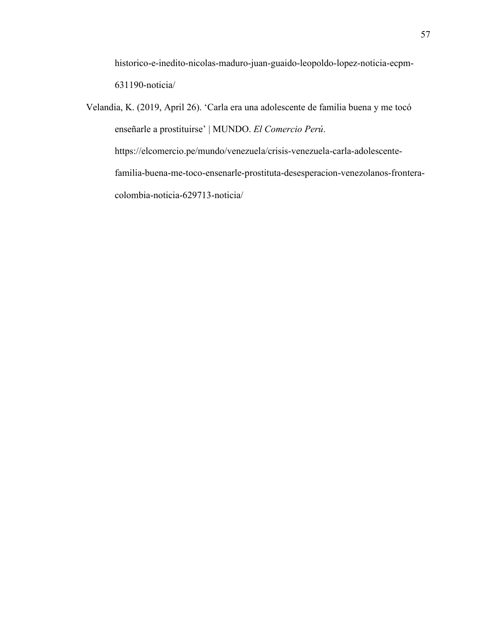historico-e-inedito-nicolas-maduro-juan-guaido-leopoldo-lopez-noticia-ecpm-631190-noticia/

<span id="page-65-0"></span>Velandia, K. (2019, April 26). 'Carla era una adolescente de familia buena y me tocó enseñarle a prostituirse' | MUNDO. *El Comercio Perú*. https://elcomercio.pe/mundo/venezuela/crisis-venezuela-carla-adolescentefamilia-buena-me-toco-ensenarle-prostituta-desesperacion-venezolanos-fronteracolombia-noticia-629713-noticia/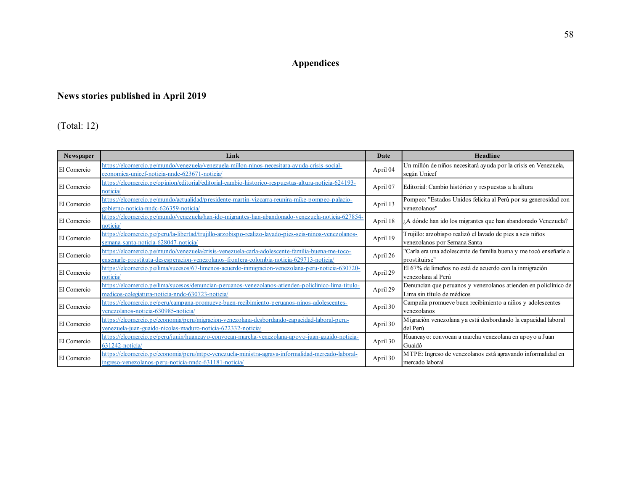# **Appendices**

# **News stories published in April 2019**

(Total: 12)

| Newspaper   | Link                                                                                                                                                                                        | Date     | Headline                                                                                      |
|-------------|---------------------------------------------------------------------------------------------------------------------------------------------------------------------------------------------|----------|-----------------------------------------------------------------------------------------------|
| El Comercio | https://elcomercio.pe/mundo/venezuela/venezuela-millon-ninos-necesitara-ayuda-crisis-social-<br>economica-unicef-noticia-nndc-623671-noticia/                                               | April 04 | Un millón de niños necesitará ayuda por la crisis en Venezuela,<br>según Unicef               |
| El Comercio | https://elcomercio.pe/opinion/editorial/editorial-cambio-historico-respuestas-altura-noticia-624193-<br>noticia                                                                             | April 07 | Editorial: Cambio histórico y respuestas a la altura                                          |
| El Comercio | https://elcomercio.pe/mundo/actualidad/presidente-martin-vizcarra-reunira-mike-pompeo-palacio-<br>eobierno-noticia-nndc-626359-noticia/                                                     | April 13 | Pompeo: "Estados Unidos felicita al Perú por su generosidad con<br>venezolanos"               |
| El Comercio | https://elcomercio.pe/mundo/venezuela/han-ido-migrantes-han-abandonado-venezuela-noticia-627854-<br>noticia                                                                                 | April 18 | ¿A dónde han ido los migrantes que han abandonado Venezuela?                                  |
| El Comercio | https://elcomercio.pe/peru/la-libertad/trujillo-arzobispo-realizo-lavado-pies-seis-ninos-venezolanos-<br>semana-santa-noticia-628047-noticia/                                               | April 19 | Trujillo: arzobispo realizó el lavado de pies a seis niños<br>venezolanos por Semana Santa    |
| El Comercio | https://elcomercio.pe/mundo/venezuela/crisis-venezuela-carla-adolescente-familia-buena-me-toco-<br>ensenarle-prostituta-desesperacion-venezolanos-frontera-colombia-noticia-629713-noticia/ | April 26 | 'Carla era una adolescente de familia buena y me tocó enseñarle a<br>prostituirse"            |
| El Comercio | https://elcomercio.pe/lima/sucesos/67-limenos-acuerdo-inmigracion-venezolana-peru-noticia-630720-<br>noticia/                                                                               | April 29 | El 67% de limeños no está de acuerdo con la inmigración<br>venezolana al Perú                 |
| El Comercio | https://elcomercio.pe/lima/sucesos/denuncian-peruanos-venezolanos-atienden-policlinico-lima-titulo-<br>medicos-colegiatura-noticia-nndc-630723-noticia/                                     | April 29 | Denuncian que peruanos y venezolanos atienden en policlínico de<br>Lima sin título de médicos |
| El Comercio | https://elcomercio.pe/peru/campana-promueve-buen-recibimiento-peruanos-ninos-adolescentes-<br>venezolanos-noticia-630985-noticia/                                                           | April 30 | Campaña promueve buen recibimiento a niños y adolescentes<br>venezolanos                      |
| El Comercio | https://elcomercio.pe/economia/peru/migracion-venezolana-desbordando-capacidad-laboral-peru-<br>venezuela-juan-guaido-nicolas-maduro-noticia-622332-noticia/                                | April 30 | Migración venezolana ya está desbordando la capacidad laboral<br>del Perú                     |
| El Comercio | https://elcomercio.pe/peru/junin/huancayo-convocan-marcha-venezolana-apoyo-juan-guaido-noticia-<br>631242-noticial                                                                          | April 30 | Huancayo: convocan a marcha venezolana en apoyo a Juan<br>Guaidó                              |
| El Comercio | https://elcomercio.pe/economia/peru/mtpe-venezuela-ministra-agrava-informalidad-mercado-laboral-<br>ingreso-venezolanos-peru-noticia-nndc-631181-noticia/                                   | April 30 | MTPE: Ingreso de venezolanos está agravando informalidad en<br>mercado laboral                |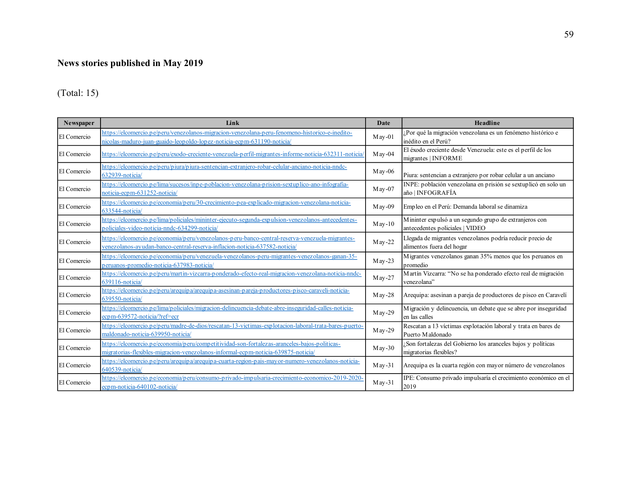# **News stories published in May 2019**

### (Total: 15)

| Newspaper   | Link                                                                                                                                                                               | Date       | Headline                                                                                  |
|-------------|------------------------------------------------------------------------------------------------------------------------------------------------------------------------------------|------------|-------------------------------------------------------------------------------------------|
| El Comercio | https://elcomercio.pe/peru/venezolanos-migracion-venezolana-peru-fenomeno-historico-e-inedito-<br>nicolas-maduro-juan-guaido-leopoldo-lopez-noticia-ecpm-631190-noticia/           | $M$ ay-01  | Por qué la migración venezolana es un fenómeno histórico e<br>inédito en el Perú?         |
| El Comercio | https://elcomercio.pe/peru/exodo-creciente-venezuela-perfil-migrantes-informe-noticia-632311-noticia                                                                               | $M$ ay-04  | El éxodo creciente desde Venezuela: este es el perfil de los<br>migrantes   INFORME       |
| El Comercio | https://elcomercio.pe/peru/piura/piura-sentencian-extranjero-robar-celular-anciano-noticia-nndc-<br>632939-noticia/                                                                | $M$ ay-06  | Piura: sentencian a extranjero por robar celular a un anciano                             |
| El Comercio | https://elcomercio.pe/lima/sucesos/inpe-poblacion-venezolana-prision-sextuplico-ano-infografia-<br>noticia-ecpm-631252-noticia/                                                    | $M$ ay-07  | INPE: población venezolana en prisión se sextuplicó en solo un<br>año   INFOGRAFÍA        |
| El Comercio | https://elcomercio.pe/economia/peru/30-crecimiento-pea-explicado-migracion-venezolana-noticia-<br>633544-noticia/                                                                  | $M$ ay-09  | Empleo en el Perú: Demanda laboral se dinamiza                                            |
| El Comercio | https://elcomercio.pe/lima/policiales/mininter-ejecuto-segunda-expulsion-venezolanos-antecedentes-<br>policiales-video-noticia-nndc-634299-noticia/                                | $M$ ay-10  | Mininter expulsó a un segundo grupo de extranjeros con<br>antecedentes policiales   VIDEO |
| El Comercio | https://elcomercio.pe/economia/peru/venezolanos-peru-banco-central-reserva-venezuela-migrantes-<br>venezolanos-ayudan-banco-central-reserva-inflacion-noticia-637582-noticia/      | $M$ ay-22  | Llegada de migrantes venezolanos podría reducir precio de<br>alimentos fuera del hogar    |
| El Comercio | https://elcomercio.pe/economia/peru/venezuela-venezolanos-peru-migrantes-venezolanos-ganan-35-<br>peruanos-promedio-noticia-637983-noticia/                                        | $M$ ay-23  | Migrantes venezolanos ganan 35% menos que los peruanos en<br>promedio                     |
| El Comercio | https://elcomercio.pe/peru/martin-vizcarra-ponderado-efecto-real-migracion-venezolana-noticia-nndc-<br>639116-noticia/                                                             | $M$ ay-27  | Martín Vizcarra: "No se ha ponderado efecto real de migración<br>venezolana"              |
| El Comercio | https://elcomercio.pe/peru/arequipa/arequipa-asesinan-pareja-productores-pisco-caraveli-noticia-<br>639550-noticia/                                                                | $M$ ay-28  | Arequipa: asesinan a pareja de productores de pisco en Caravelí                           |
| El Comercio | https://elcomercio.pe/lima/policiales/migracion-delincuencia-debate-abre-inseguridad-calles-noticia-<br>ecpm-639572-noticia/?ref=ecr                                               | $M$ ay-29  | Migración y delincuencia, un debate que se abre por inseguridad<br>en las calles          |
| El Comercio | https://elcomercio.pe/peru/madre-de-dios/rescatan-13-victimas-explotacion-laboral-trata-bares-puerto-<br>maldonado-noticia-639950-noticia/                                         | $M$ ay-29  | Rescatan a 13 víctimas explotación laboral y trata en bares de<br>Puerto Maldonado        |
| El Comercio | https://elcomercio.pe/economia/peru/competitividad-son-fortalezas-aranceles-bajos-politicas-<br>migratorias-flexibles-migracion-venezolanos-informal-ecp m-noticia-639875-noticia/ | $M$ ay-30  | Son fortalezas del Gobierno los aranceles bajos y políticas<br>migratorias flexibles?     |
| El Comercio | https://elcomercio.pe/peru/arequipa/arequipa-cuarta-region-pais-may or-numero-venezolanos-noticia-<br>640539-noticia/                                                              | $M$ ay -31 | Arequipa es la cuarta región con mayor número de venezolanos                              |
| El Comercio | https://elcomercio.pe/economia/peru/consumo-privado-impulsaria-crecimiento-economico-2019-2020<br>ecpm-noticia-640102-noticia/                                                     | $M$ ay-31  | IPE: Consumo privado impulsaría el crecimiento económico en el<br>2019                    |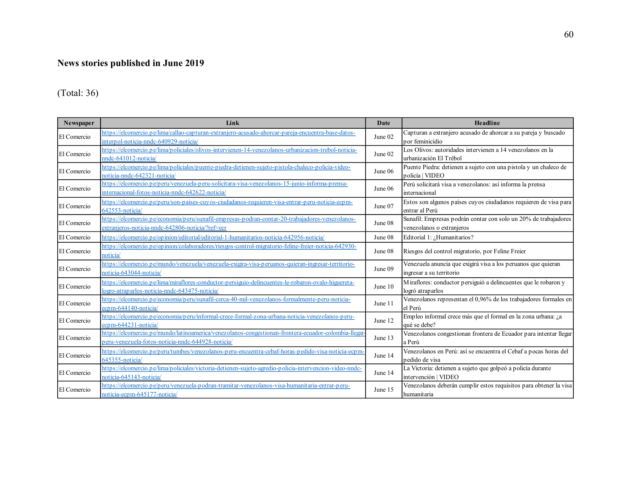### **News stories published in June 2019**

### (Total: 36)

| <b>Newspaper</b> | Link                                                                                                                                                     | Date      | Headline                                                                                     |
|------------------|----------------------------------------------------------------------------------------------------------------------------------------------------------|-----------|----------------------------------------------------------------------------------------------|
| El Comercio      | https://elcomercio.pe/lima/callao-capturan-extranjero-acusado-ahorcar-pareja-encuentra-base-datos-<br>interpol-noticia-nndc-640929-noticia/              | June 02   | Capturan a extranjero acusado de ahorcar a su pareja y buscado<br>por feminicidio            |
| El Comercio      | https://elcomercio.pe/lima/policiales/olivos-intervienen-14-venezolanos-urbanizacion-trebol-noticia-<br>nndc-641012-noticia/                             | June 02   | Los Olivos: autoridades intervienen a 14 venezolanos en la<br>urbanización El Trébol         |
| El Comercio      | https://elcomercio.pe/lima/policiales/puente-piedra-detienen-sujeto-pistola-chaleco-policia-video-<br>noticia-nndc-642321-noticia/                       | June 06   | Puente Piedra: detienen a sujeto con una pistola y un chaleco de<br>policía   VIDEO          |
| El Comercio      | https://elcomercio.pe/peru/venezuela-peru-solicitara-visa-venezolanos-15-junio-informa-prensa-<br>internacional-fotos-noticia-nndc-642622-noticia/       | June 06   | Perú solicitará visa a venezolanos: así informa la prensa<br>internacional                   |
| El Comercio      | https://elcomercio.pe/peru/son-paises-cuyos-ciudadanos-requieren-visa-entrar-peru-noticia-ecpm-<br>642553-noticia/                                       | June 07   | Estos son algunos países cuyos ciudadanos requieren de visa para<br>entrar al Perú           |
| El Comercio      | https://elcomercio.pe/economia/peru/sunafil-empresas-podran-contar-20-trabajadores-venezolanos-<br>extranjeros-noticia-nndc-642806-noticia/?ref=ecr      | June 08   | Sunafil: Empresas podrán contar con solo un 20% de trabajadores<br>venezolanos o extranjeros |
| El Comercio      | https://elcomercio.pe/opinion/editorial/editorial-1-humanitarios-noticia-642956-noticia/                                                                 | June 08   | Editorial 1: ¿Humanitarios?                                                                  |
| El Comercio      | https://elcomercio.pe/opinion/colaboradores/riesgos-control-migratorio-feline-freier-noticia-642930-<br>noticia/                                         | June $08$ | Riesgos del control migratorio, por Feline Freier                                            |
| El Comercio      | https://elcomercio.pe/mundo/venezuela/venezuela-exigira-visa-peruanos-quieran-ingresar-territorio-<br>noticia-643044-noticia/                            | June 09   | Venezuela anuncia que exigirá visa a los peruanos que quieran<br>ingresar a su territorio    |
| El Comercio      | https://elcomercio.pe/lima/miraflores-conductor-persiguio-delincuentes-le-robaron-ovalo-higuereta-<br>logro-atraparlos-noticia-nndc-643475-noticia/      | June 10   | Miraflores: conductor persiguió a delincuentes que le robaron y<br>logró atraparlos          |
| El Comercio      | https://elcomercio.pe/economia/peru/sunafil-cerca-40-mil-venezolanos-formalmente-peru-noticia-<br>ecpm-644140-noticia/                                   | June 11   | Venezolanos representan el 0,96% de los trabajadores formales en<br>el Perú                  |
| El Comercio      | https://elcomercio.pe/economia/peru/informal-crece-formal-zona-urbana-noticia-venezolanos-peru-<br>ecpm-644231-noticia/                                  | June 12   | Empleo informal crece más que el formal en la zona urbana: ¿a<br>qué se debe?                |
| El Comercio      | https://elcomercio.pe/mundo/latinoamerica/venezolanos-congestionan-frontera-ecuador-colombia-llegar<br>peru-venezuela-fotos-noticia-nndc-644928-noticia/ | June 13   | Venezolanos congestionan frontera de Ecuador para intentar llegar<br>a Perú                  |
| El Comercio      | https://elcomercio.pe/peru/tumbes/venezolanos-peru-encuentra-cebaf-horas-pedido-visa-noticia-ecpm-<br>645355-noticia/                                    | June 14   | Venezolanos en Perú: así se encuentra el Cebaf a pocas horas del<br>nedido de visa           |
| El Comercio      | https://elcomercio.pe/lima/policiales/victoria-detienen-sujeto-agredio-policia-intervencion-video-nndc-<br>noticia-645143-noticia/                       | June 14   | La Victoria: detienen a sujeto que golpeó a policía durante<br>intervención   VIDEO          |
| El Comercio      | https://elcomercio.pe/peru/venezuela-podran-tramitar-venezolanos-visa-humanitaria-entrar-peru-<br>noticia-ecpm-645177-noticia/                           | June 15   | Venezolanos deberán cumplir estos requisitos para obtener la visa<br>humanitaria             |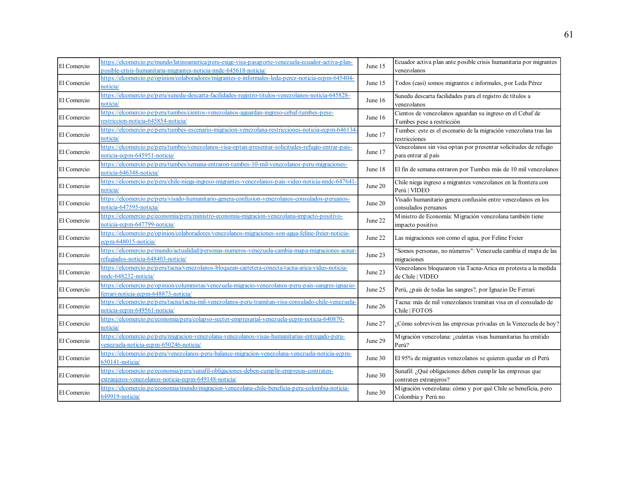| El Comercio | https://elcomercio.pe/mundo/latinoamerica/peru-exige-visa-pasaporte-venezuela-ecuador-activa-plan-<br>posible-crisis-humanitaria-migrantes-noticia-nndc-645618-noticia/ | June 15   | Ecuador activa plan ante posible crisis humanitaria por migrantes<br>venezolanos       |
|-------------|-------------------------------------------------------------------------------------------------------------------------------------------------------------------------|-----------|----------------------------------------------------------------------------------------|
| El Comercio | https://elcomercio.pe/opinion/colaboradores/migrantes-e-informales-leda-perez-noticia-ecpm-645404-<br>noticia/                                                          | June 15   | Todos (casi) somos migrantes e informales, por Leda Pérez                              |
| El Comercio | -attps://elcomercio.pe/peru/sunedu-descarta-facilidades-registro-titulos-venezolanos-noticia-645828<br>noticia/                                                         | June 16   | Sunedu descarta facilidades para el registro de títulos a<br>venezolanos               |
| El Comercio | https://elcomercio.pe/peru/tumbes/cientos-venezolanos-aguardan-ingreso-cebaf-tumbes-pese-<br>restriccion-noticia-645854-noticia/                                        | June 16   | Cientos de venezolanos aguardan su ingreso en el Cebaf de<br>Tumbes pese a restricción |
| El Comercio | https://elcomercio.pe/peru/tumbes-escenario-migracion-venezolana-restricciones-noticia-ecpm-646134<br>noticia/                                                          | June 17   | Tumbes: este es el escenario de la migración venezolana tras las<br>restricciones      |
| El Comercio | https://elcomercio.pe/peru/tumbes/venezolanos-visa-optan-presentar-solicitudes-refugio-entrar-pais-<br>noticia-ecpm-645951-noticia/                                     | June 17   | Venezolanos sin visa optan por presentar solicitudes de refugio<br>para entrar al país |
| El Comercio | https://elcomercio.pe/peru/tumbes/semana-entraron-tumbes-10-mil-venezolanos-peru-migraciones-<br>noticia-646348-noticia/                                                | June 18   | El fin de semana entraron por Tumbes más de 10 mil venezolanos                         |
| El Comercio | attps://elcomercio.pe/peru/chile-niega-ingreso-migrantes-venezolanos-pais-video-noticia-nndc-647641<br>noticia/                                                         | June 20   | Chile niega ingreso a migrantes venezolanos en la frontera con<br>Perú   VIDEO         |
| El Comercio | https://elcomercio.pe/peru/visado-humanitario-genera-confusion-venezolanos-consulados-peruanos-<br>noticia-647595-noticia/                                              | June 20   | Visado humanitario genera confusión entre venezolanos en los<br>consulados peruanos    |
| El Comercio | nttps://elc <u>omercio.pe/economia/peru/ministro-economia-migracion-venezolana-impacto-positivo-</u><br>noticia-ecpm-647799-noticia/                                    | June 22   | Ministro de Economía: Migración venezolana también tiene<br>impacto positivo           |
| El Comercio | https://elcomercio.pe/opinion/colaboradores/venezolanos-migraciones-son-agua-feline-freier-noticia-<br>ecpm-648015-noticia/                                             | June 22   | Las migraciones son como el agua, por Feline Freier                                    |
| El Comercio | https://elcomercio.pe/mundo/actualidad/personas-numeros-venezuela-cambia-mapa-migraciones-acnur-<br>refugiados-noticia-648403-noticia/                                  | June 23   | Somos personas, no números": Venezuela cambia el mapa de las<br>migraciones            |
| El Comercio | https://elcomercio.pe/peru/tacna/venezolanos-bloquean-carretera-conecta-tacna-arica-video-noticia-<br>nndc-648232-noticia/                                              | June 23   | Venezolanos bloquearon vía Tacna-Arica en protesta a la medida<br>de Chile   VIDEO     |
| El Comercio | https://elcomercio.pe/opinion/columnistas/venezuela-migracio-venezolanos-peru-pais-sangres-ignazio-<br>ferrari-noticia-ecpm-648873-noticia/                             | June 25   | Perú, ¿país de todas las sangres?, por Ignazio De Ferrari                              |
| El Comercio | https://elcomercio.pe/peru/tacna/tacna-mil-venezolanos-peru-tramitan-visa-consulado-chile-venezuela<br>noticia-ecpm-649561-noticia                                      | June 26   | Tacna: más de mil venezolanos tramitan visa en el consulado de<br>Chile   FOTOS        |
| El Comercio | https://elcomercio.pe/economia/peru/colapso-sector-empresarial-venezuela-ecpm-noticia-640870-<br>noticia/                                                               | June 27   | Cómo sobreviven las empresas privadas en la Venezuela de hoy?                          |
| El Comercio | https://elcomercio.pe/peru/migracion-venezolana-venezolanos-visas-humanitarias-entregado-peru-<br>venezuela-noticia-ecpm-650246-noticia/                                | June 29   | Migración venezolana: ¿cuántas visas humanitarias ha emitido<br>Perú?                  |
| El Comercio | https://elcomercio.pe/peru/venezolanos-peru-balance-migracion-venezolana-venezuela-noticia-ecpm-<br>650141-noticia                                                      | June 30   | El 95% de migrantes venezolanos se quieren quedar en el Perú                           |
| El Comercio | https://elcomercio.pe/economia/peru/sunafil-obligaciones-deben-cumplir-empresas-contraten-<br>extranjeros-venezolanos-noticia-ecpm-649148-noticia/                      | June 30   | Sunafil: ¿Qué obligaciones deben cump lir las empresas que<br>contraten extranjeros?   |
| El Comercio | nttps://elcomercio.pe/economia/mundo/migracion-venezolana-chile-beneficia-peru-colombia-noticia-<br>649919-noticia/                                                     | June $30$ | Migración venezolana: cómo y por qué Chile se beneficia, pero<br>Colombia y Perú no    |